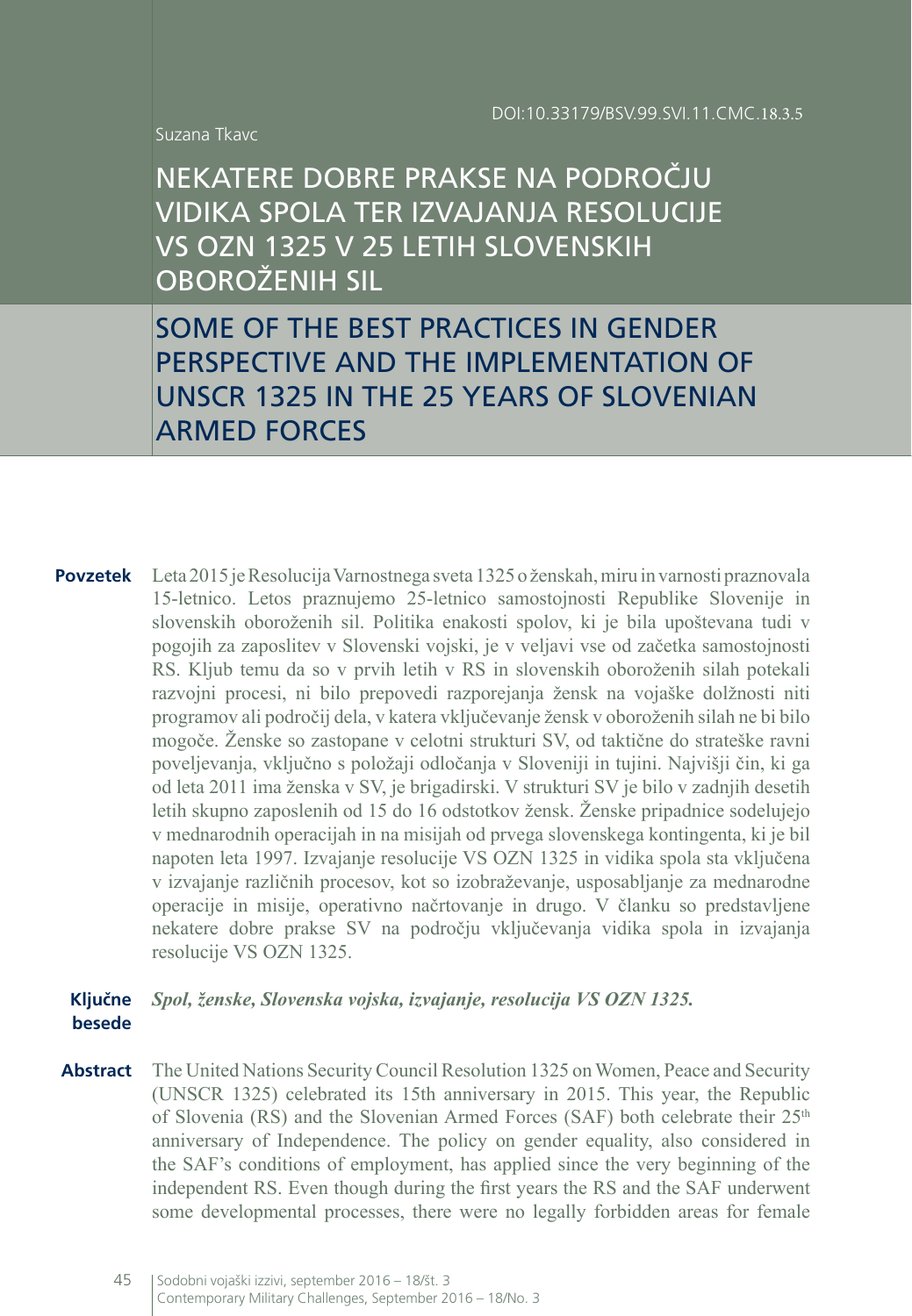Suzana Tkavc

NEKATERE DOBRE PRAKSE NA PODROČJU VIDIKA SPOLA TER IZVAJANJA RESOLUCIJE VS OZN 1325 V 25 LETIH SLOVENSKIH OBOROŽENIH SIL

SOME OF THE BEST PRACTICES IN GENDER PERSPECTIVE AND THE IMPLEMENTATION OF UNSCR 1325 IN THE 25 YEARS OF SLOVENIAN ARMED FORCES

**Povzetek** Leta 2015 je Resolucija Varnostnega sveta 1325 o ženskah, miru in varnosti praznovala 15-letnico. Letos praznujemo 25-letnico samostojnosti Republike Slovenije in slovenskih oboroženih sil. Politika enakosti spolov, ki je bila upoštevana tudi v pogojih za zaposlitev v Slovenski vojski, je v veljavi vse od začetka samostojnosti RS. Kljub temu da so v prvih letih v RS in slovenskih oboroženih silah potekali razvojni procesi, ni bilo prepovedi razporejanja žensk na vojaške dolžnosti niti programov ali področij dela, v katera vključevanje žensk v oboroženih silah ne bi bilo mogoče. Ženske so zastopane v celotni strukturi SV, od taktične do strateške ravni poveljevanja, vključno s položaji odločanja v Sloveniji in tujini. Najvišji čin, ki ga od leta 2011 ima ženska v SV, je brigadirski. V strukturi SV je bilo v zadnjih desetih letih skupno zaposlenih od 15 do 16 odstotkov žensk. Ženske pripadnice sodelujejo v mednarodnih operacijah in na misijah od prvega slovenskega kontingenta, ki je bil napoten leta 1997. Izvajanje resolucije VS OZN 1325 in vidika spola sta vključena v izvajanje različnih procesov, kot so izobraževanje, usposabljanje za mednarodne operacije in misije, operativno načrtovanje in drugo. V članku so predstavljene nekatere dobre prakse SV na področju vključevanja vidika spola in izvajanja resolucije VS OZN 1325.

#### **Ključne**  *Spol, ženske, Slovenska vojska, izvajanje, resolucija VS OZN 1325.* **besede**

**Abstract** The United Nations Security Council Resolution 1325 on Women, Peace and Security (UNSCR 1325) celebrated its 15th anniversary in 2015. This year, the Republic of Slovenia (RS) and the Slovenian Armed Forces (SAF) both celebrate their 25<sup>th</sup> anniversary of Independence. The policy on gender equality, also considered in the SAF's conditions of employment, has applied since the very beginning of the independent RS. Even though during the first years the RS and the SAF underwent some developmental processes, there were no legally forbidden areas for female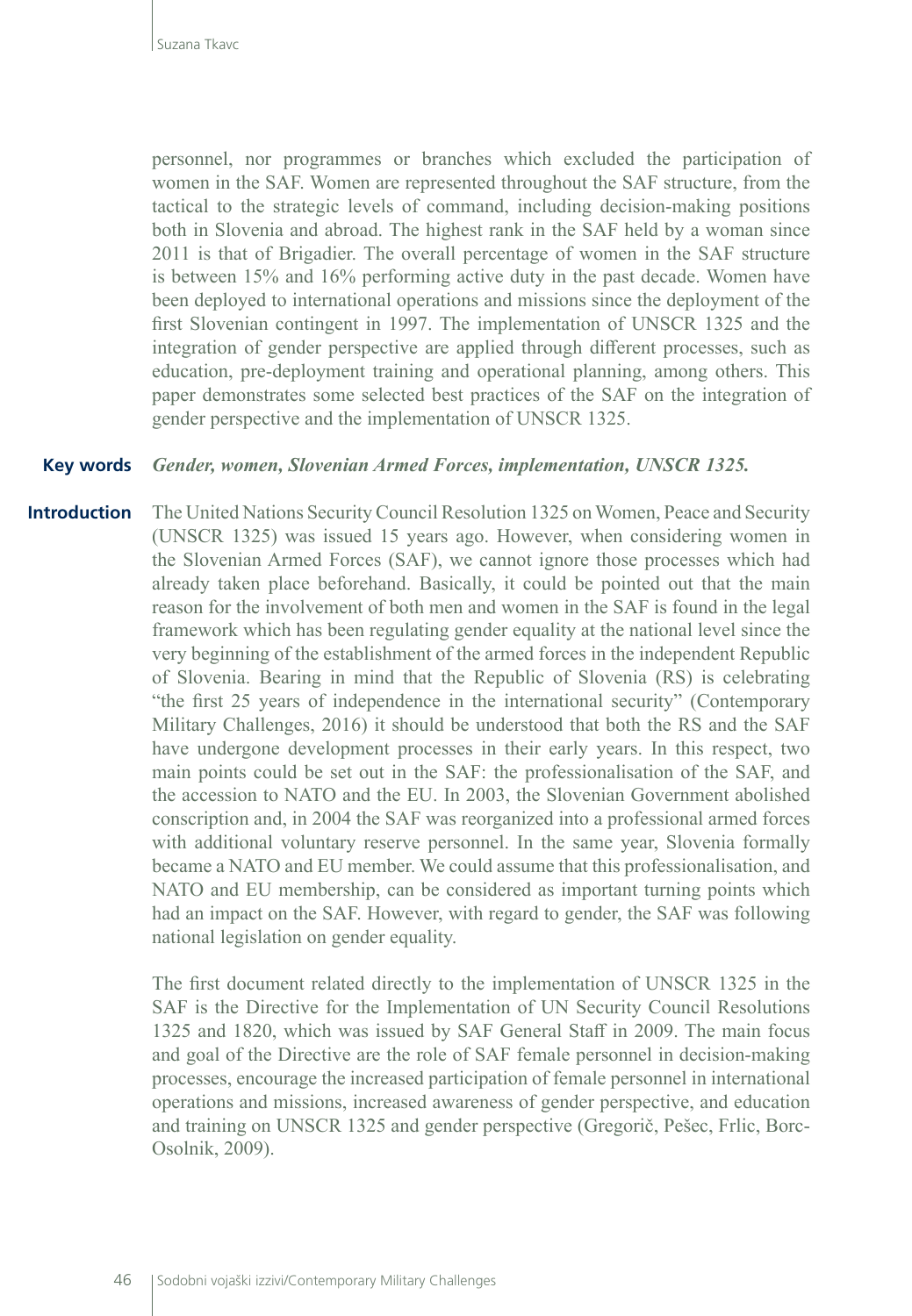personnel, nor programmes or branches which excluded the participation of women in the SAF. Women are represented throughout the SAF structure, from the tactical to the strategic levels of command, including decision-making positions both in Slovenia and abroad. The highest rank in the SAF held by a woman since 2011 is that of Brigadier. The overall percentage of women in the SAF structure is between 15% and 16% performing active duty in the past decade. Women have been deployed to international operations and missions since the deployment of the first Slovenian contingent in 1997. The implementation of UNSCR 1325 and the integration of gender perspective are applied through different processes, such as education, pre-deployment training and operational planning, among others. This paper demonstrates some selected best practices of the SAF on the integration of gender perspective and the implementation of UNSCR 1325.

#### *Gender, women, Slovenian Armed Forces, implementation, UNSCR 1325.* **Key words**

The United Nations Security Council Resolution 1325 on Women, Peace and Security (UNSCR 1325) was issued 15 years ago. However, when considering women in the Slovenian Armed Forces (SAF), we cannot ignore those processes which had already taken place beforehand. Basically, it could be pointed out that the main reason for the involvement of both men and women in the SAF is found in the legal framework which has been regulating gender equality at the national level since the very beginning of the establishment of the armed forces in the independent Republic of Slovenia. Bearing in mind that the Republic of Slovenia (RS) is celebrating "the first 25 years of independence in the international security" (Contemporary Military Challenges, 2016) it should be understood that both the RS and the SAF have undergone development processes in their early years. In this respect, two main points could be set out in the SAF: the professionalisation of the SAF, and the accession to NATO and the EU. In 2003, the Slovenian Government abolished conscription and, in 2004 the SAF was reorganized into a professional armed forces with additional voluntary reserve personnel. In the same year, Slovenia formally became a NATO and EU member. We could assume that this professionalisation, and NATO and EU membership, can be considered as important turning points which had an impact on the SAF. However, with regard to gender, the SAF was following national legislation on gender equality. **Introduction**

> The first document related directly to the implementation of UNSCR 1325 in the SAF is the Directive for the Implementation of UN Security Council Resolutions 1325 and 1820, which was issued by SAF General Staff in 2009. The main focus and goal of the Directive are the role of SAF female personnel in decision-making processes, encourage the increased participation of female personnel in international operations and missions, increased awareness of gender perspective, and education and training on UNSCR 1325 and gender perspective (Gregorič, Pešec, Frlic, Borc-Osolnik, 2009).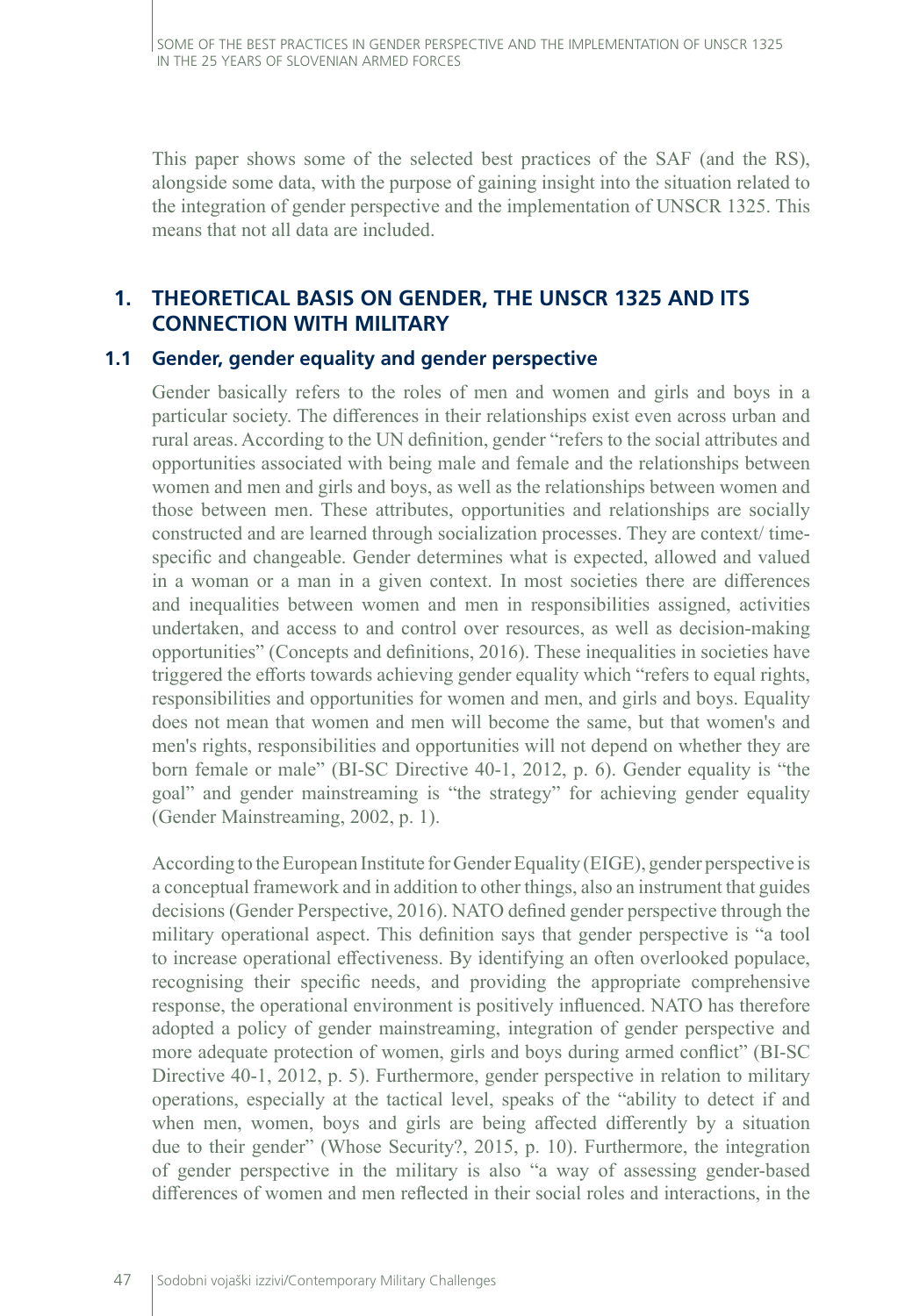This paper shows some of the selected best practices of the SAF (and the RS), alongside some data, with the purpose of gaining insight into the situation related to the integration of gender perspective and the implementation of UNSCR 1325. This means that not all data are included.

# **1. THEORETICAL BASIS ON GENDER, THE UNSCR 1325 AND ITS CONNECTION WITH MILITARY**

#### **1.1 Gender, gender equality and gender perspective**

Gender basically refers to the roles of men and women and girls and boys in a particular society. The differences in their relationships exist even across urban and rural areas. According to the UN definition, gender "refers to the social attributes and opportunities associated with being male and female and the relationships between women and men and girls and boys, as well as the relationships between women and those between men. These attributes, opportunities and relationships are socially constructed and are learned through socialization processes. They are context/ timespecific and changeable. Gender determines what is expected, allowed and valued in a woman or a man in a given context. In most societies there are differences and inequalities between women and men in responsibilities assigned, activities undertaken, and access to and control over resources, as well as decision-making opportunities" (Concepts and definitions, 2016). These inequalities in societies have triggered the efforts towards achieving gender equality which "refers to equal rights, responsibilities and opportunities for women and men, and girls and boys. Equality does not mean that women and men will become the same, but that women's and men's rights, responsibilities and opportunities will not depend on whether they are born female or male" (BI-SC Directive 40-1, 2012, p. 6). Gender equality is "the goal" and gender mainstreaming is "the strategy" for achieving gender equality (Gender Mainstreaming, 2002, p. 1).

According to the European Institute for Gender Equality (EIGE), gender perspective is a conceptual framework and in addition to other things, also an instrument that guides decisions (Gender Perspective, 2016). NATO defined gender perspective through the military operational aspect. This definition says that gender perspective is "a tool to increase operational effectiveness. By identifying an often overlooked populace, recognising their specific needs, and providing the appropriate comprehensive response, the operational environment is positively influenced. NATO has therefore adopted a policy of gender mainstreaming, integration of gender perspective and more adequate protection of women, girls and boys during armed conflict" (BI-SC Directive 40-1, 2012, p. 5). Furthermore, gender perspective in relation to military operations, especially at the tactical level, speaks of the "ability to detect if and when men, women, boys and girls are being affected differently by a situation due to their gender" (Whose Security?, 2015, p. 10). Furthermore, the integration of gender perspective in the military is also "a way of assessing gender-based differences of women and men reflected in their social roles and interactions, in the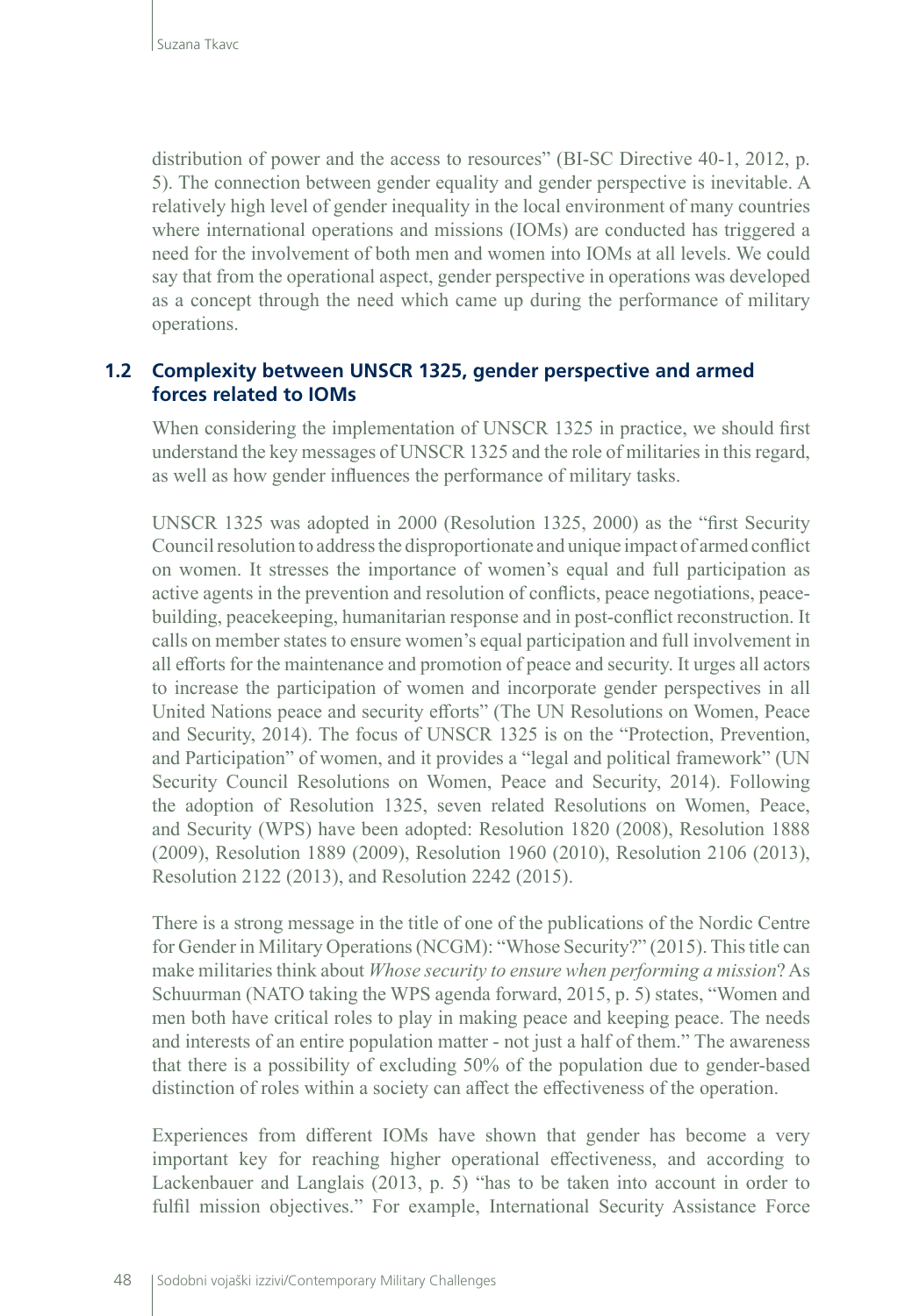distribution of power and the access to resources" (BI-SC Directive 40-1, 2012, p. 5). The connection between gender equality and gender perspective is inevitable. A relatively high level of gender inequality in the local environment of many countries where international operations and missions (IOMs) are conducted has triggered a need for the involvement of both men and women into IOMs at all levels. We could say that from the operational aspect, gender perspective in operations was developed as a concept through the need which came up during the performance of military operations.

## **1.2 Complexity between UNSCR 1325, gender perspective and armed forces related to IOMs**

When considering the implementation of UNSCR 1325 in practice, we should first understand the key messages of UNSCR 1325 and the role of militaries in this regard, as well as how gender influences the performance of military tasks.

UNSCR 1325 was adopted in 2000 (Resolution 1325, 2000) as the "first Security Council resolution to address the disproportionate and unique impact of armed conflict on women. It stresses the importance of women's equal and full participation as active agents in the prevention and resolution of conflicts, peace negotiations, peacebuilding, peacekeeping, humanitarian response and in post-conflict reconstruction. It calls on member states to ensure women's equal participation and full involvement in all efforts for the maintenance and promotion of peace and security. It urges all actors to increase the participation of women and incorporate gender perspectives in all United Nations peace and security efforts" (The UN Resolutions on Women, Peace and Security, 2014). The focus of UNSCR 1325 is on the "Protection, Prevention, and Participation" of women, and it provides a "legal and political framework" (UN Security Council Resolutions on Women, Peace and Security, 2014). Following the adoption of Resolution 1325, seven related Resolutions on Women, Peace, and Security (WPS) have been adopted: Resolution 1820 (2008), Resolution 1888 (2009), Resolution 1889 (2009), Resolution 1960 (2010), Resolution 2106 (2013), Resolution 2122 (2013), and Resolution 2242 (2015).

There is a strong message in the title of one of the publications of the Nordic Centre for Gender in Military Operations (NCGM): "Whose Security?" (2015). This title can make militaries think about *Whose security to ensure when performing a mission*? As Schuurman (NATO taking the WPS agenda forward, 2015, p. 5) states, "Women and men both have critical roles to play in making peace and keeping peace. The needs and interests of an entire population matter - not just a half of them." The awareness that there is a possibility of excluding 50% of the population due to gender-based distinction of roles within a society can affect the effectiveness of the operation.

Experiences from different IOMs have shown that gender has become a very important key for reaching higher operational effectiveness, and according to Lackenbauer and Langlais (2013, p. 5) "has to be taken into account in order to fulfil mission objectives." For example, International Security Assistance Force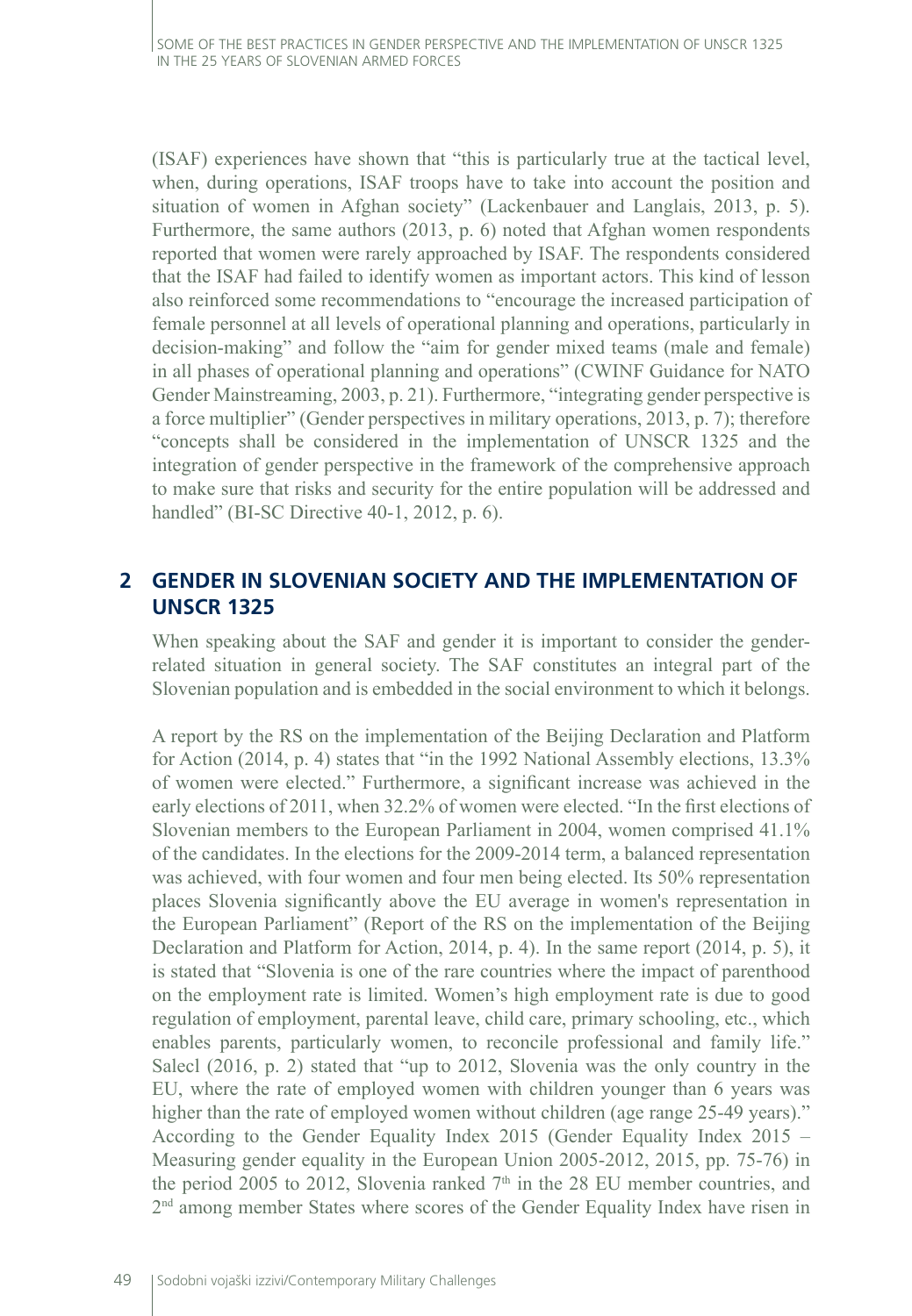(ISAF) experiences have shown that "this is particularly true at the tactical level, when, during operations, ISAF troops have to take into account the position and situation of women in Afghan society" (Lackenbauer and Langlais, 2013, p. 5). Furthermore, the same authors (2013, p. 6) noted that Afghan women respondents reported that women were rarely approached by ISAF. The respondents considered that the ISAF had failed to identify women as important actors. This kind of lesson also reinforced some recommendations to "encourage the increased participation of female personnel at all levels of operational planning and operations, particularly in decision-making" and follow the "aim for gender mixed teams (male and female) in all phases of operational planning and operations" (CWINF Guidance for NATO Gender Mainstreaming, 2003, p. 21). Furthermore, "integrating gender perspective is a force multiplier" (Gender perspectives in military operations, 2013, p. 7); therefore "concepts shall be considered in the implementation of UNSCR 1325 and the integration of gender perspective in the framework of the comprehensive approach to make sure that risks and security for the entire population will be addressed and handled" (BI-SC Directive 40-1, 2012, p. 6).

## **2 GENDER IN SLOVENIAN SOCIETY AND THE IMPLEMENTATION OF UNSCR 1325**

When speaking about the SAF and gender it is important to consider the genderrelated situation in general society. The SAF constitutes an integral part of the Slovenian population and is embedded in the social environment to which it belongs.

A report by the RS on the implementation of the Beijing Declaration and Platform for Action (2014, p. 4) states that "in the 1992 National Assembly elections, 13.3% of women were elected." Furthermore, a significant increase was achieved in the early elections of 2011, when 32.2% of women were elected. "In the first elections of Slovenian members to the European Parliament in 2004, women comprised 41.1% of the candidates. In the elections for the 2009-2014 term, a balanced representation was achieved, with four women and four men being elected. Its 50% representation places Slovenia significantly above the EU average in women's representation in the European Parliament" (Report of the RS on the implementation of the Beijing Declaration and Platform for Action, 2014, p. 4). In the same report (2014, p. 5), it is stated that "Slovenia is one of the rare countries where the impact of parenthood on the employment rate is limited. Women's high employment rate is due to good regulation of employment, parental leave, child care, primary schooling, etc., which enables parents, particularly women, to reconcile professional and family life." Salecl (2016, p. 2) stated that "up to 2012, Slovenia was the only country in the EU, where the rate of employed women with children younger than 6 years was higher than the rate of employed women without children (age range 25-49 years)." According to the Gender Equality Index 2015 (Gender Equality Index 2015 – Measuring gender equality in the European Union 2005-2012, 2015, pp. 75-76) in the period 2005 to 2012, Slovenia ranked  $7<sup>th</sup>$  in the 28 EU member countries, and 2<sup>nd</sup> among member States where scores of the Gender Equality Index have risen in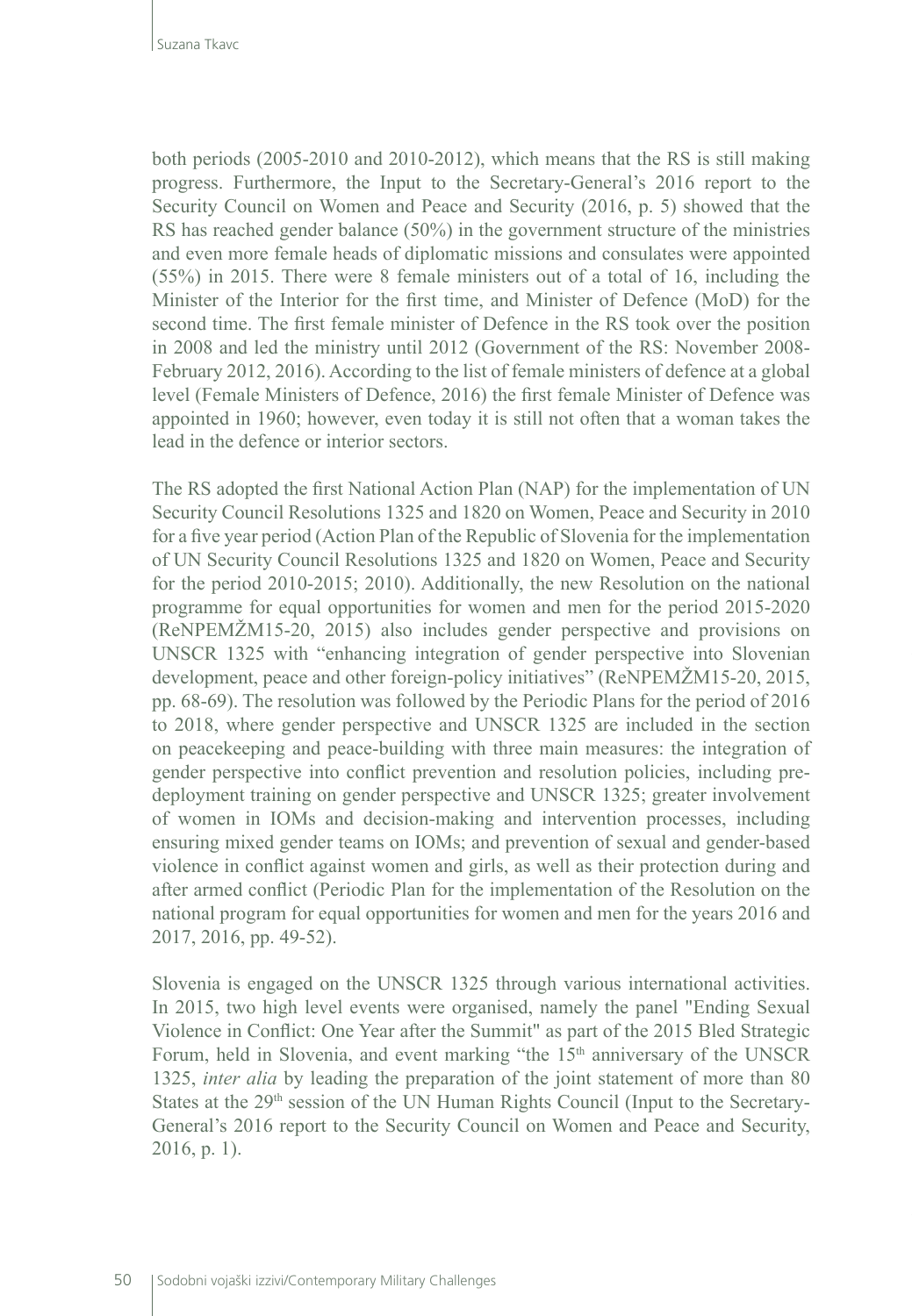both periods (2005-2010 and 2010-2012), which means that the RS is still making progress. Furthermore, the Input to the Secretary-General's 2016 report to the Security Council on Women and Peace and Security (2016, p. 5) showed that the RS has reached gender balance (50%) in the government structure of the ministries and even more female heads of diplomatic missions and consulates were appointed (55%) in 2015. There were 8 female ministers out of a total of 16, including the Minister of the Interior for the first time, and Minister of Defence (MoD) for the second time. The first female minister of Defence in the RS took over the position in 2008 and led the ministry until 2012 (Government of the RS: November 2008- February 2012, 2016). According to the list of female ministers of defence at a global level (Female Ministers of Defence, 2016) the first female Minister of Defence was appointed in 1960; however, even today it is still not often that a woman takes the lead in the defence or interior sectors.

The RS adopted the first National Action Plan (NAP) for the implementation of UN Security Council Resolutions 1325 and 1820 on Women, Peace and Security in 2010 for a five year period (Action Plan of the Republic of Slovenia for the implementation of UN Security Council Resolutions 1325 and 1820 on Women, Peace and Security for the period 2010-2015; 2010). Additionally, the new Resolution on the national programme for equal opportunities for women and men for the period 2015-2020 (ReNPEMŽM15-20, 2015) also includes gender perspective and provisions on UNSCR 1325 with "enhancing integration of gender perspective into Slovenian development, peace and other foreign-policy initiatives" (ReNPEMŽM15-20, 2015, pp. 68-69). The resolution was followed by the Periodic Plans for the period of 2016 to 2018, where gender perspective and UNSCR 1325 are included in the section on peacekeeping and peace-building with three main measures: the integration of gender perspective into conflict prevention and resolution policies, including predeployment training on gender perspective and UNSCR 1325; greater involvement of women in IOMs and decision-making and intervention processes, including ensuring mixed gender teams on IOMs; and prevention of sexual and gender-based violence in conflict against women and girls, as well as their protection during and after armed conflict (Periodic Plan for the implementation of the Resolution on the national program for equal opportunities for women and men for the years 2016 and 2017, 2016, pp. 49-52).

Slovenia is engaged on the UNSCR 1325 through various international activities. In 2015, two high level events were organised, namely the panel "Ending Sexual Violence in Conflict: One Year after the Summit" as part of the 2015 Bled Strategic Forum, held in Slovenia, and event marking "the 15<sup>th</sup> anniversary of the UNSCR 1325, *inter alia* by leading the preparation of the joint statement of more than 80 States at the 29<sup>th</sup> session of the UN Human Rights Council (Input to the Secretary-General's 2016 report to the Security Council on Women and Peace and Security, 2016, p. 1).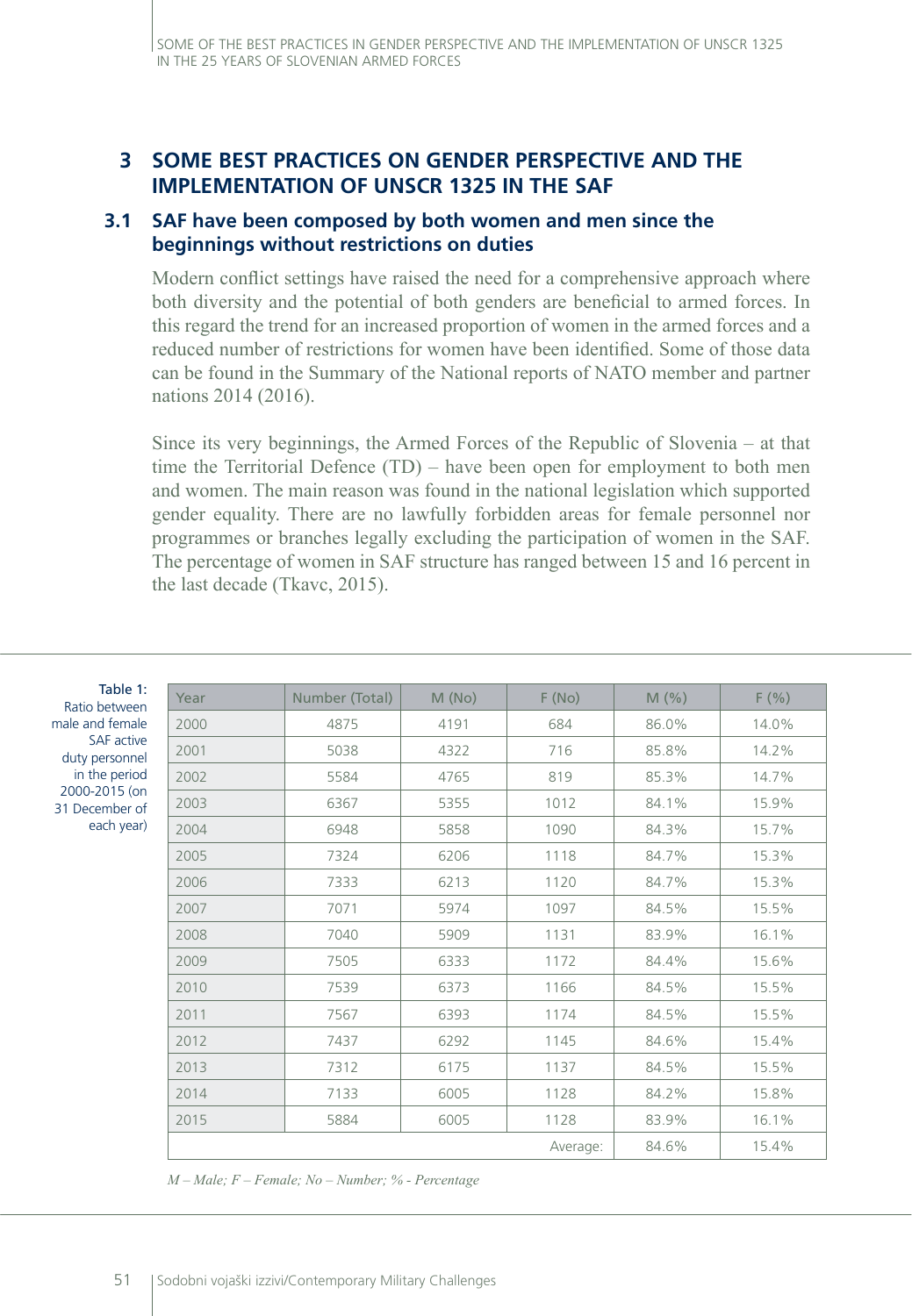## **3 SOME BEST PRACTICES ON GENDER PERSPECTIVE AND THE IMPLEMENTATION OF UNSCR 1325 IN THE SAF**

## **3.1 SAF have been composed by both women and men since the beginnings without restrictions on duties**

Modern conflict settings have raised the need for a comprehensive approach where both diversity and the potential of both genders are beneficial to armed forces. In this regard the trend for an increased proportion of women in the armed forces and a reduced number of restrictions for women have been identified. Some of those data can be found in the Summary of the National reports of NATO member and partner nations 2014 (2016).

Since its very beginnings, the Armed Forces of the Republic of Slovenia – at that time the Territorial Defence (TD) – have been open for employment to both men and women. The main reason was found in the national legislation which supported gender equality. There are no lawfully forbidden areas for female personnel nor programmes or branches legally excluding the participation of women in the SAF. The percentage of women in SAF structure has ranged between 15 and 16 percent in the last decade (Tkavc, 2015).

| Table 1:<br>Ratio between                                                                                              | Year | Number (Total) | M(No) | F(No)    | M(%)  | F(% ) |
|------------------------------------------------------------------------------------------------------------------------|------|----------------|-------|----------|-------|-------|
| ale and female<br><b>SAF</b> active<br>duty personnel<br>in the period<br>2000-2015 (on<br>1 December of<br>each year) | 2000 | 4875           | 4191  | 684      | 86.0% | 14.0% |
|                                                                                                                        | 2001 | 5038           | 4322  | 716      | 85.8% | 14.2% |
|                                                                                                                        | 2002 | 5584           | 4765  | 819      | 85.3% | 14.7% |
|                                                                                                                        | 2003 | 6367           | 5355  | 1012     | 84.1% | 15.9% |
|                                                                                                                        | 2004 | 6948           | 5858  | 1090     | 84.3% | 15.7% |
|                                                                                                                        | 2005 | 7324           | 6206  | 1118     | 84.7% | 15.3% |
|                                                                                                                        | 2006 | 7333           | 6213  | 1120     | 84.7% | 15.3% |
|                                                                                                                        | 2007 | 7071           | 5974  | 1097     | 84.5% | 15.5% |
|                                                                                                                        | 2008 | 7040           | 5909  | 1131     | 83.9% | 16.1% |
|                                                                                                                        | 2009 | 7505           | 6333  | 1172     | 84.4% | 15.6% |
|                                                                                                                        | 2010 | 7539           | 6373  | 1166     | 84.5% | 15.5% |
|                                                                                                                        | 2011 | 7567           | 6393  | 1174     | 84.5% | 15.5% |
|                                                                                                                        | 2012 | 7437           | 6292  | 1145     | 84.6% | 15.4% |
|                                                                                                                        | 2013 | 7312           | 6175  | 1137     | 84.5% | 15.5% |
|                                                                                                                        | 2014 | 7133           | 6005  | 1128     | 84.2% | 15.8% |
|                                                                                                                        | 2015 | 5884           | 6005  | 1128     | 83.9% | 16.1% |
|                                                                                                                        |      |                |       | Average: | 84.6% | 15.4% |

*M – Male; F – Female; No – Number; % - Percentage*

mal

31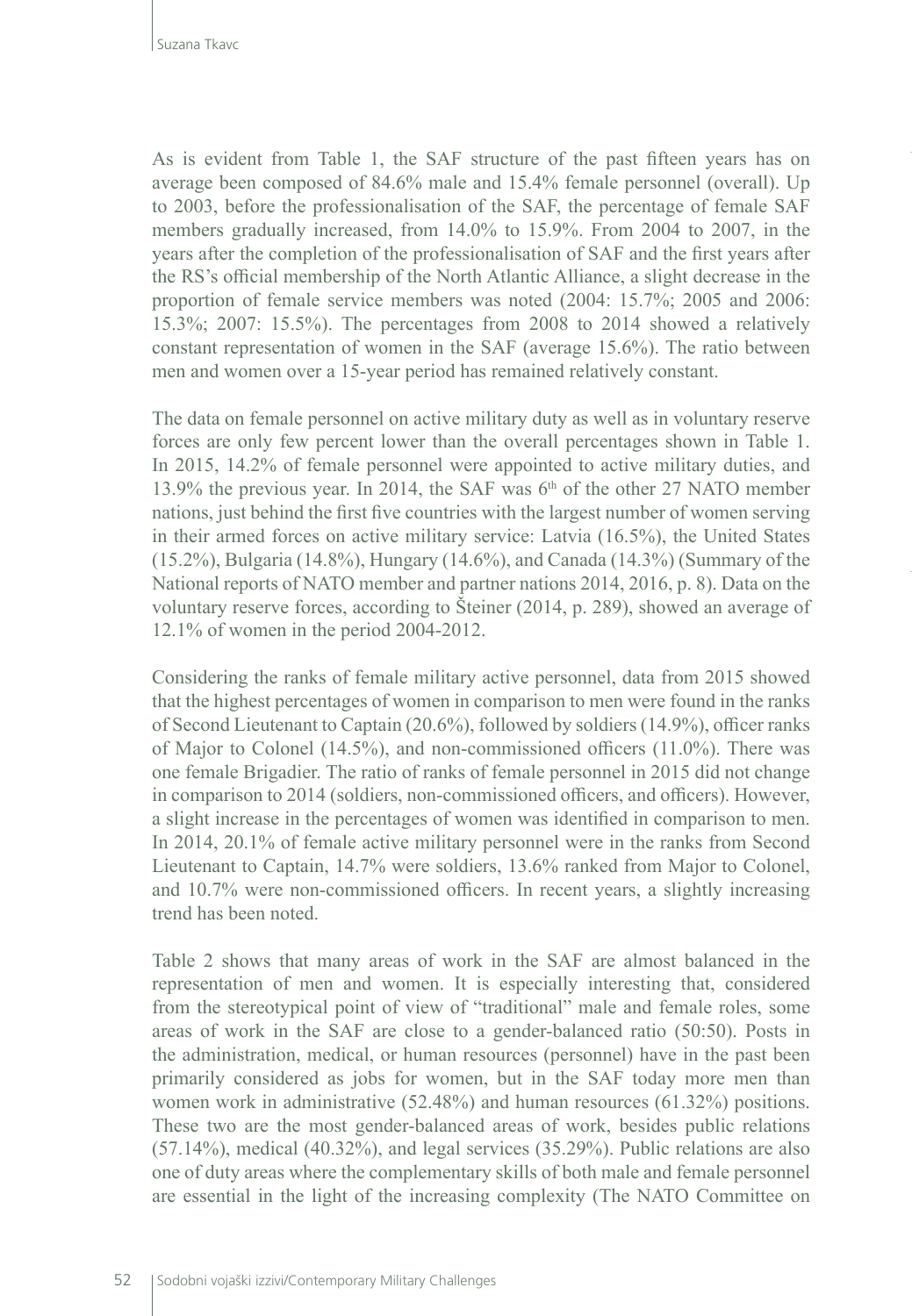As is evident from Table 1, the SAF structure of the past fifteen years has on average been composed of 84.6% male and 15.4% female personnel (overall). Up to 2003, before the professionalisation of the SAF, the percentage of female SAF members gradually increased, from 14.0% to 15.9%. From 2004 to 2007, in the years after the completion of the professionalisation of SAF and the first years after the RS's official membership of the North Atlantic Alliance, a slight decrease in the proportion of female service members was noted (2004: 15.7%; 2005 and 2006: 15.3%; 2007: 15.5%). The percentages from 2008 to 2014 showed a relatively constant representation of women in the SAF (average 15.6%). The ratio between men and women over a 15-year period has remained relatively constant.

The data on female personnel on active military duty as well as in voluntary reserve forces are only few percent lower than the overall percentages shown in Table 1. In 2015, 14.2% of female personnel were appointed to active military duties, and 13.9% the previous year. In 2014, the SAF was  $6<sup>th</sup>$  of the other 27 NATO member nations, just behind the first five countries with the largest number of women serving in their armed forces on active military service: Latvia (16.5%), the United States (15.2%), Bulgaria (14.8%), Hungary (14.6%), and Canada (14.3%) (Summary of the National reports of NATO member and partner nations 2014, 2016, p. 8). Data on the voluntary reserve forces, according to Šteiner (2014, p. 289), showed an average of 12.1% of women in the period 2004-2012.

Considering the ranks of female military active personnel, data from 2015 showed that the highest percentages of women in comparison to men were found in the ranks of Second Lieutenant to Captain (20.6%), followed by soldiers (14.9%), officer ranks of Major to Colonel (14.5%), and non-commissioned officers (11.0%). There was one female Brigadier. The ratio of ranks of female personnel in 2015 did not change in comparison to 2014 (soldiers, non-commissioned officers, and officers). However, a slight increase in the percentages of women was identified in comparison to men. In 2014, 20.1% of female active military personnel were in the ranks from Second Lieutenant to Captain, 14.7% were soldiers, 13.6% ranked from Major to Colonel, and 10.7% were non-commissioned officers. In recent years, a slightly increasing trend has been noted.

Table 2 shows that many areas of work in the SAF are almost balanced in the representation of men and women. It is especially interesting that, considered from the stereotypical point of view of "traditional" male and female roles, some areas of work in the SAF are close to a gender-balanced ratio (50:50). Posts in the administration, medical, or human resources (personnel) have in the past been primarily considered as jobs for women, but in the SAF today more men than women work in administrative (52.48%) and human resources (61.32%) positions. These two are the most gender-balanced areas of work, besides public relations (57.14%), medical (40.32%), and legal services (35.29%). Public relations are also one of duty areas where the complementary skills of both male and female personnel are essential in the light of the increasing complexity (The NATO Committee on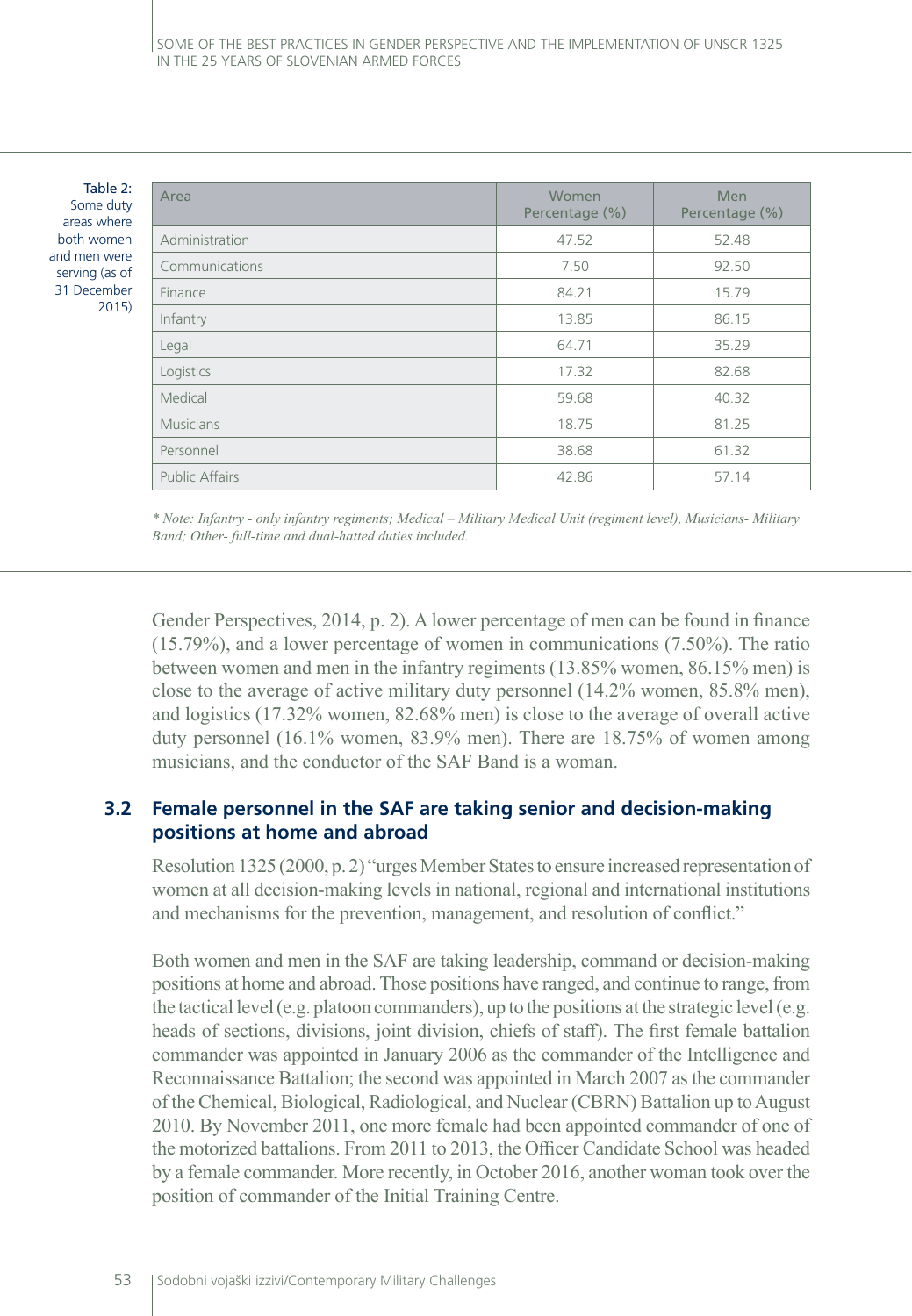Table 2: Some duty areas where both women and men were serving (as of 31 December 2015)

| Area                  | Women<br>Percentage (%) | <b>Men</b><br>Percentage (%) |  |
|-----------------------|-------------------------|------------------------------|--|
| Administration        | 47.52                   | 52.48                        |  |
| Communications        | 7.50                    | 92.50                        |  |
| Finance               | 84.21                   | 15.79                        |  |
| Infantry              | 13.85                   | 86.15                        |  |
| Legal                 | 64.71                   | 35.29                        |  |
| Logistics             | 17.32                   | 82.68                        |  |
| Medical               | 59.68                   | 40.32                        |  |
| <b>Musicians</b>      | 18.75                   | 81.25                        |  |
| Personnel             | 38.68                   | 61.32                        |  |
| <b>Public Affairs</b> | 42.86                   | 57.14                        |  |

*\* Note: Infantry - only infantry regiments; Medical – Military Medical Unit (regiment level), Musicians- Military Band; Other- full-time and dual-hatted duties included.*

Gender Perspectives, 2014, p. 2). A lower percentage of men can be found in finance (15.79%), and a lower percentage of women in communications (7.50%). The ratio between women and men in the infantry regiments (13.85% women, 86.15% men) is close to the average of active military duty personnel (14.2% women, 85.8% men), and logistics (17.32% women, 82.68% men) is close to the average of overall active duty personnel (16.1% women, 83.9% men). There are 18.75% of women among musicians, and the conductor of the SAF Band is a woman.

## **3.2 Female personnel in the SAF are taking senior and decision-making positions at home and abroad**

Resolution 1325 (2000, p. 2) "urges Member States to ensure increased representation of women at all decision-making levels in national, regional and international institutions and mechanisms for the prevention, management, and resolution of conflict."

Both women and men in the SAF are taking leadership, command or decision-making positions at home and abroad. Those positions have ranged, and continue to range, from the tactical level (e.g. platoon commanders), up to the positions at the strategic level (e.g. heads of sections, divisions, joint division, chiefs of staff). The first female battalion commander was appointed in January 2006 as the commander of the Intelligence and Reconnaissance Battalion; the second was appointed in March 2007 as the commander of the Chemical, Biological, Radiological, and Nuclear (CBRN) Battalion up to August 2010. By November 2011, one more female had been appointed commander of one of the motorized battalions. From 2011 to 2013, the Officer Candidate School was headed by a female commander. More recently, in October 2016, another woman took over the position of commander of the Initial Training Centre.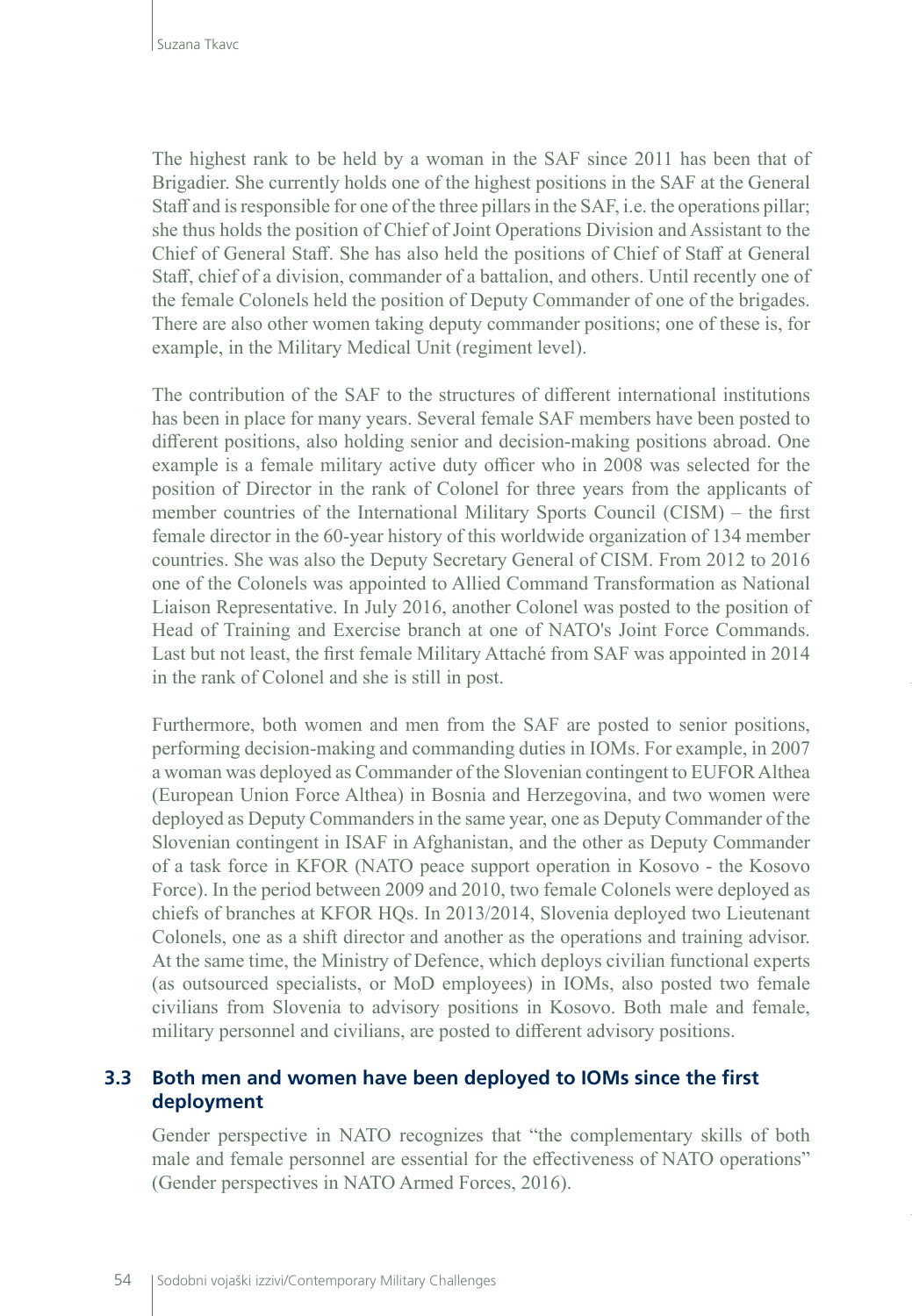The highest rank to be held by a woman in the SAF since 2011 has been that of Brigadier. She currently holds one of the highest positions in the SAF at the General Staff and is responsible for one of the three pillars in the SAF, i.e. the operations pillar; she thus holds the position of Chief of Joint Operations Division and Assistant to the Chief of General Staff. She has also held the positions of Chief of Staff at General Staff, chief of a division, commander of a battalion, and others. Until recently one of the female Colonels held the position of Deputy Commander of one of the brigades. There are also other women taking deputy commander positions; one of these is, for example, in the Military Medical Unit (regiment level).

The contribution of the SAF to the structures of different international institutions has been in place for many years. Several female SAF members have been posted to different positions, also holding senior and decision-making positions abroad. One example is a female military active duty officer who in 2008 was selected for the position of Director in the rank of Colonel for three years from the applicants of member countries of the International Military Sports Council (CISM) – the first female director in the 60-year history of this worldwide organization of 134 member countries. She was also the Deputy Secretary General of CISM. From 2012 to 2016 one of the Colonels was appointed to Allied Command Transformation as National Liaison Representative. In July 2016, another Colonel was posted to the position of Head of Training and Exercise branch at one of NATO's Joint Force Commands. Last but not least, the first female Military Attaché from SAF was appointed in 2014 in the rank of Colonel and she is still in post.

Furthermore, both women and men from the SAF are posted to senior positions, performing decision-making and commanding duties in IOMs. For example, in 2007 a woman was deployed as Commander of the Slovenian contingent to EUFOR Althea (European Union Force Althea) in Bosnia and Herzegovina, and two women were deployed as Deputy Commanders in the same year, one as Deputy Commander of the Slovenian contingent in ISAF in Afghanistan, and the other as Deputy Commander of a task force in KFOR (NATO peace support operation in Kosovo - the Kosovo Force). In the period between 2009 and 2010, two female Colonels were deployed as chiefs of branches at KFOR HQs. In 2013/2014, Slovenia deployed two Lieutenant Colonels, one as a shift director and another as the operations and training advisor. At the same time, the Ministry of Defence, which deploys civilian functional experts (as outsourced specialists, or MoD employees) in IOMs, also posted two female civilians from Slovenia to advisory positions in Kosovo. Both male and female, military personnel and civilians, are posted to different advisory positions.

#### **3.3 Both men and women have been deployed to IOMs since the first deployment**

Gender perspective in NATO recognizes that "the complementary skills of both male and female personnel are essential for the effectiveness of NATO operations" (Gender perspectives in NATO Armed Forces, 2016).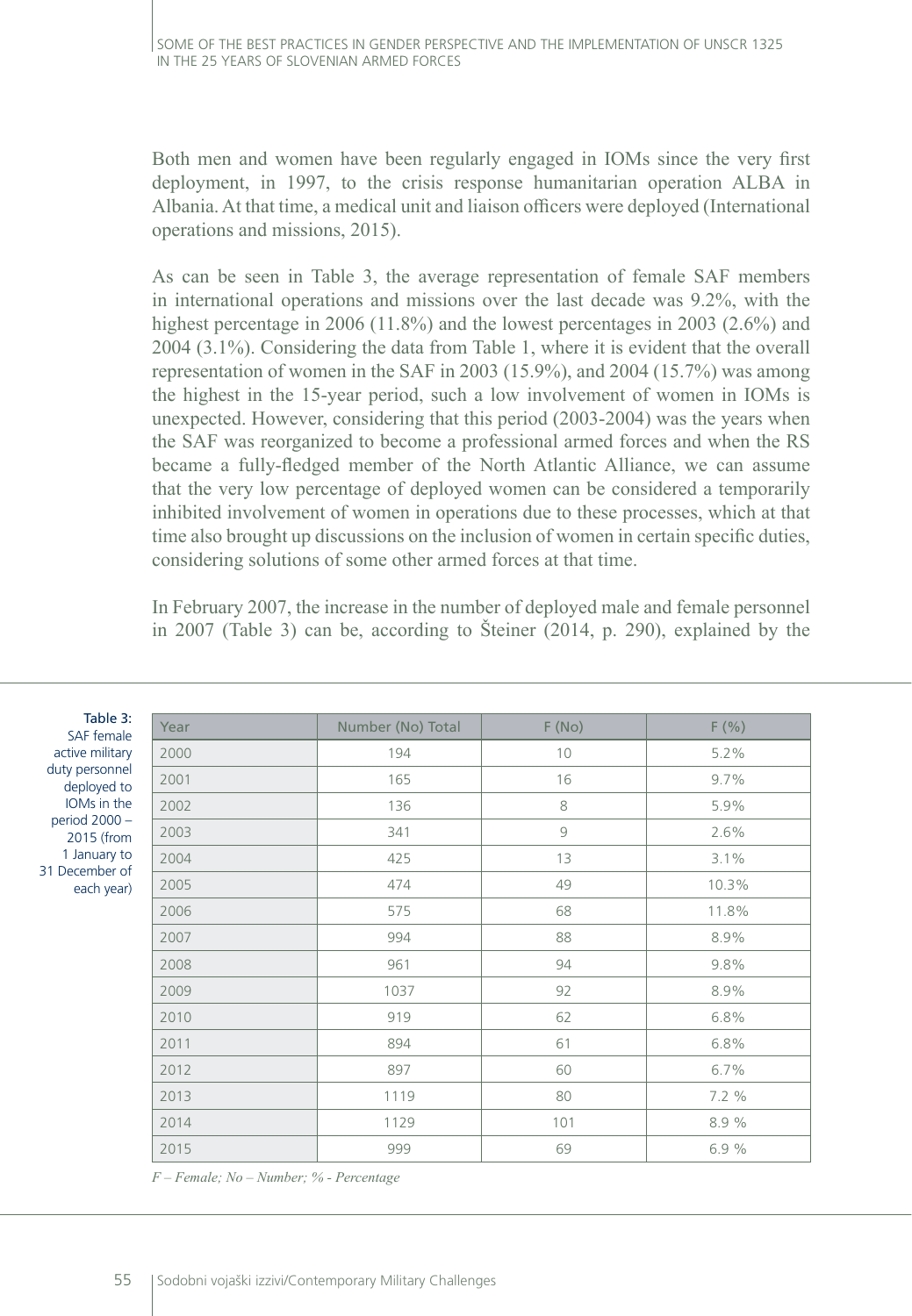Both men and women have been regularly engaged in IOMs since the very first deployment, in 1997, to the crisis response humanitarian operation ALBA in Albania. At that time, a medical unit and liaison officers were deployed (International operations and missions, 2015).

As can be seen in Table 3, the average representation of female SAF members in international operations and missions over the last decade was 9.2%, with the highest percentage in 2006 (11.8%) and the lowest percentages in 2003 (2.6%) and 2004 (3.1%). Considering the data from Table 1, where it is evident that the overall representation of women in the SAF in 2003 (15.9%), and 2004 (15.7%) was among the highest in the 15-year period, such a low involvement of women in IOMs is unexpected. However, considering that this period (2003-2004) was the years when the SAF was reorganized to become a professional armed forces and when the RS became a fully-fledged member of the North Atlantic Alliance, we can assume that the very low percentage of deployed women can be considered a temporarily inhibited involvement of women in operations due to these processes, which at that time also brought up discussions on the inclusion of women in certain specific duties, considering solutions of some other armed forces at that time.

In February 2007, the increase in the number of deployed male and female personnel in 2007 (Table 3) can be, according to Šteiner (2014, p. 290), explained by the

| Table 3:<br>SAF female                                                                                                                         | Year | Number (No) Total | F(No) | F(% ) |
|------------------------------------------------------------------------------------------------------------------------------------------------|------|-------------------|-------|-------|
| active military<br>duty personnel<br>deployed to<br>IOMs in the<br>period 2000 -<br>2015 (from<br>1 January to<br>31 December of<br>each year) | 2000 | 194               | 10    | 5.2%  |
|                                                                                                                                                | 2001 | 165               | 16    | 9.7%  |
|                                                                                                                                                | 2002 | 136               | 8     | 5.9%  |
|                                                                                                                                                | 2003 | 341               | 9     | 2.6%  |
|                                                                                                                                                | 2004 | 425               | 13    | 3.1%  |
|                                                                                                                                                | 2005 | 474               | 49    | 10.3% |
|                                                                                                                                                | 2006 | 575               | 68    | 11.8% |
|                                                                                                                                                | 2007 | 994               | 88    | 8.9%  |
|                                                                                                                                                | 2008 | 961               | 94    | 9.8%  |
|                                                                                                                                                | 2009 | 1037              | 92    | 8.9%  |
|                                                                                                                                                | 2010 | 919               | 62    | 6.8%  |
|                                                                                                                                                | 2011 | 894               | 61    | 6.8%  |
|                                                                                                                                                | 2012 | 897               | 60    | 6.7%  |
|                                                                                                                                                | 2013 | 1119              | 80    | 7.2 % |
|                                                                                                                                                | 2014 | 1129              | 101   | 8.9%  |
|                                                                                                                                                | 2015 | 999               | 69    | 6.9%  |

*F – Female; No – Number; % - Percentage*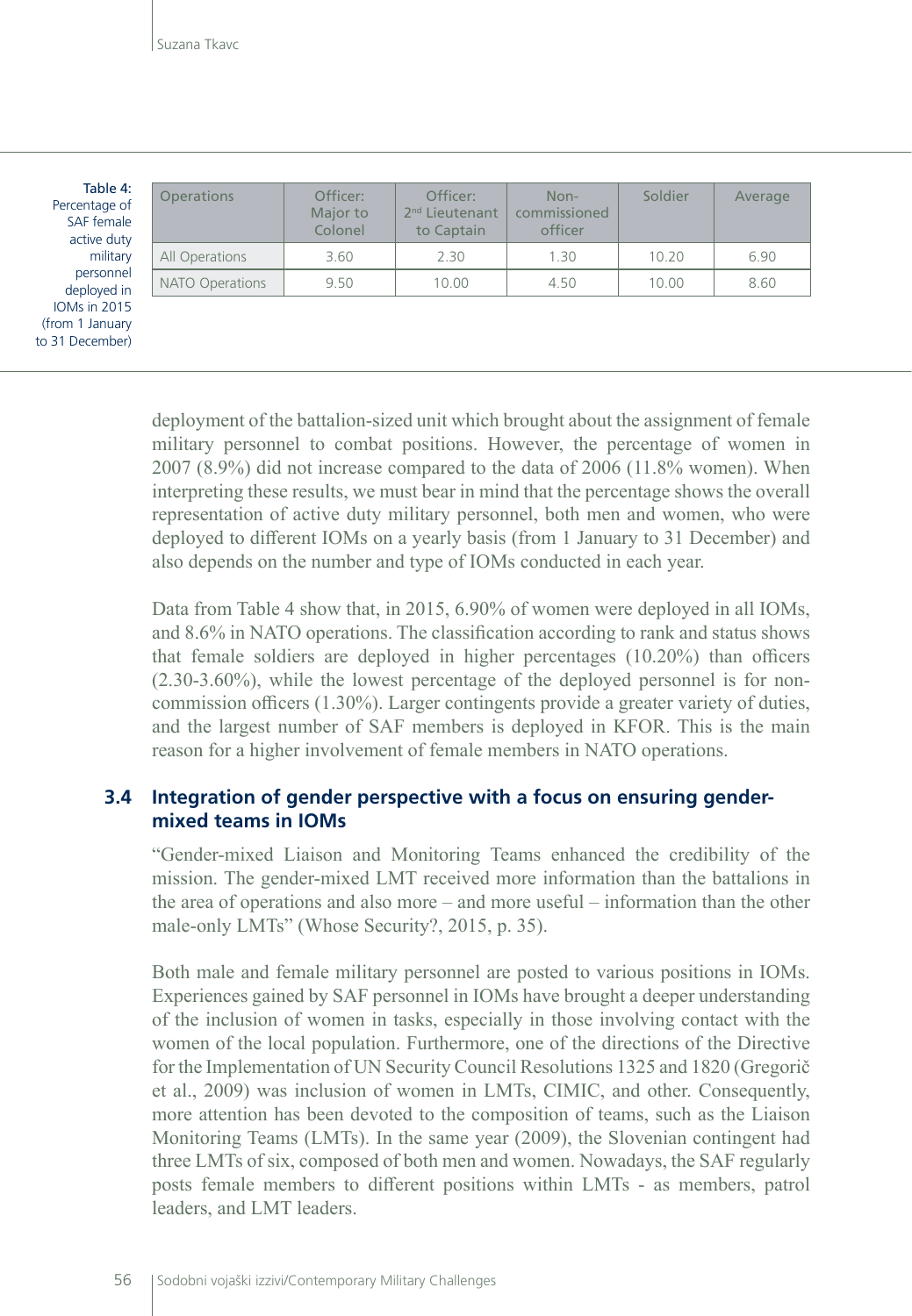| Table 4:<br>Percentage of<br>SAF female<br>active duty<br>military<br>personnel<br>deployed in<br><b>IOMs in 2015</b><br>(from 1 January<br>to 31 December) | <b>Operations</b> | Officer:<br>Major to<br>Colonel | Officer:<br>2 <sup>nd</sup> Lieutenant<br>to Captain | Non-<br>commissioned<br>officer | Soldier | Average |
|-------------------------------------------------------------------------------------------------------------------------------------------------------------|-------------------|---------------------------------|------------------------------------------------------|---------------------------------|---------|---------|
|                                                                                                                                                             | All Operations    | 3.60                            | 2.30                                                 | 1.30                            | 10.20   | 6.90    |
|                                                                                                                                                             | NATO Operations   | 9.50                            | 10.00                                                | 4.50                            | 10.00   | 8.60    |
|                                                                                                                                                             |                   |                                 |                                                      |                                 |         |         |

deployment of the battalion-sized unit which brought about the assignment of female military personnel to combat positions. However, the percentage of women in 2007 (8.9%) did not increase compared to the data of 2006 (11.8% women). When interpreting these results, we must bear in mind that the percentage shows the overall representation of active duty military personnel, both men and women, who were deployed to different IOMs on a yearly basis (from 1 January to 31 December) and also depends on the number and type of IOMs conducted in each year.

Data from Table 4 show that, in 2015, 6.90% of women were deployed in all IOMs, and 8.6% in NATO operations. The classification according to rank and status shows that female soldiers are deployed in higher percentages (10.20%) than officers (2.30-3.60%), while the lowest percentage of the deployed personnel is for noncommission officers (1.30%). Larger contingents provide a greater variety of duties, and the largest number of SAF members is deployed in KFOR. This is the main reason for a higher involvement of female members in NATO operations.

#### **3.4 Integration of gender perspective with a focus on ensuring gendermixed teams in IOMs**

"Gender-mixed Liaison and Monitoring Teams enhanced the credibility of the mission. The gender-mixed LMT received more information than the battalions in the area of operations and also more – and more useful – information than the other male-only LMTs" (Whose Security?, 2015, p. 35).

Both male and female military personnel are posted to various positions in IOMs. Experiences gained by SAF personnel in IOMs have brought a deeper understanding of the inclusion of women in tasks, especially in those involving contact with the women of the local population. Furthermore, one of the directions of the Directive for the Implementation of UN Security Council Resolutions 1325 and 1820 (Gregorič et al., 2009) was inclusion of women in LMTs, CIMIC, and other. Consequently, more attention has been devoted to the composition of teams, such as the Liaison Monitoring Teams (LMTs). In the same year (2009), the Slovenian contingent had three LMTs of six, composed of both men and women. Nowadays, the SAF regularly posts female members to different positions within LMTs - as members, patrol leaders, and LMT leaders.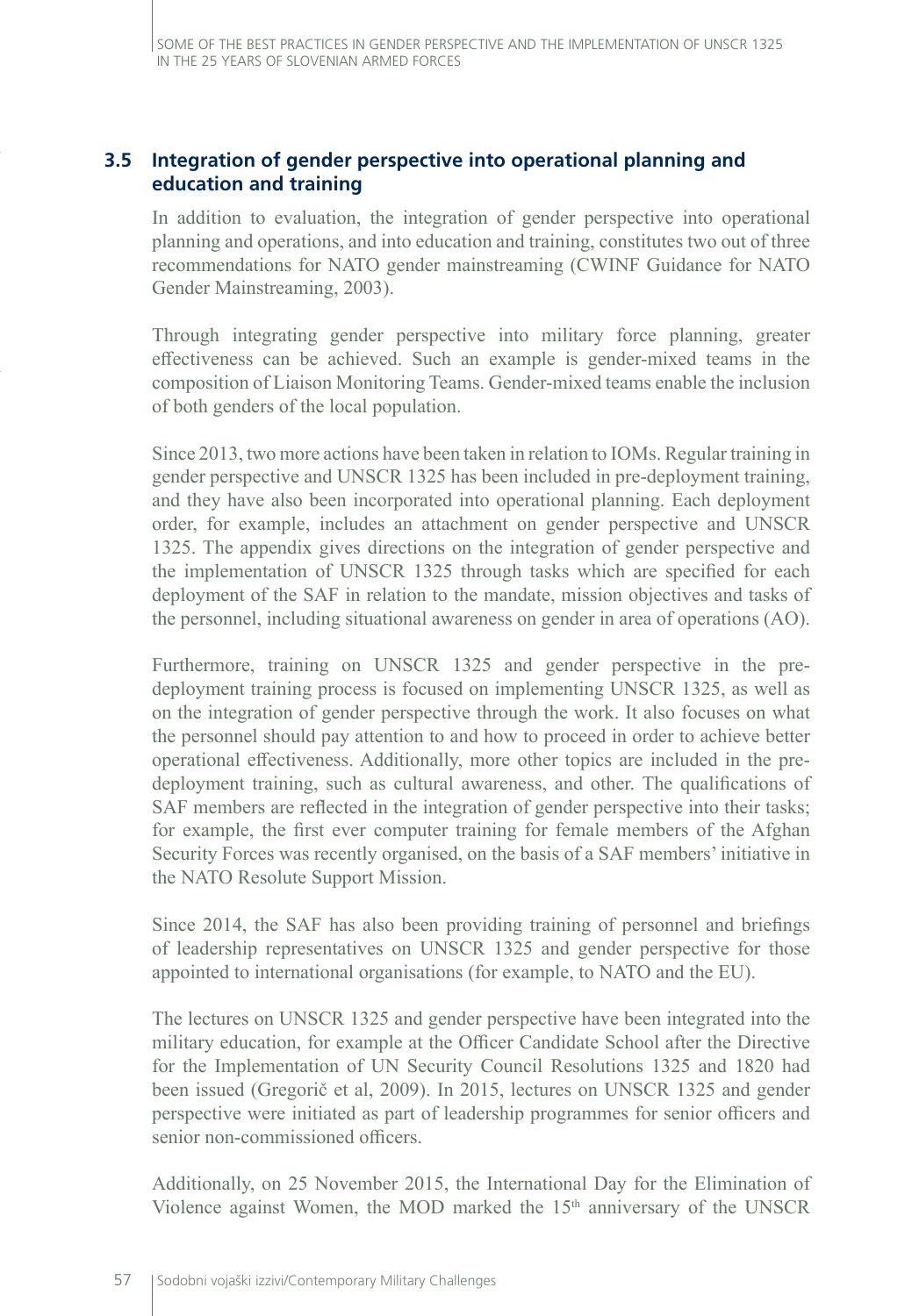## **3.5 Integration of gender perspective into operational planning and education and training**

In addition to evaluation, the integration of gender perspective into operational planning and operations, and into education and training, constitutes two out of three recommendations for NATO gender mainstreaming (CWINF Guidance for NATO Gender Mainstreaming, 2003).

Through integrating gender perspective into military force planning, greater effectiveness can be achieved. Such an example is gender-mixed teams in the composition of Liaison Monitoring Teams. Gender-mixed teams enable the inclusion of both genders of the local population.

Since 2013, two more actions have been taken in relation to IOMs. Regular training in gender perspective and UNSCR 1325 has been included in pre-deployment training, and they have also been incorporated into operational planning. Each deployment order, for example, includes an attachment on gender perspective and UNSCR 1325. The appendix gives directions on the integration of gender perspective and the implementation of UNSCR 1325 through tasks which are specified for each deployment of the SAF in relation to the mandate, mission objectives and tasks of the personnel, including situational awareness on gender in area of operations (AO).

Furthermore, training on UNSCR 1325 and gender perspective in the predeployment training process is focused on implementing UNSCR 1325, as well as on the integration of gender perspective through the work. It also focuses on what the personnel should pay attention to and how to proceed in order to achieve better operational effectiveness. Additionally, more other topics are included in the predeployment training, such as cultural awareness, and other. The qualifications of SAF members are reflected in the integration of gender perspective into their tasks; for example, the first ever computer training for female members of the Afghan Security Forces was recently organised, on the basis of a SAF members' initiative in the NATO Resolute Support Mission.

Since 2014, the SAF has also been providing training of personnel and briefings of leadership representatives on UNSCR 1325 and gender perspective for those appointed to international organisations (for example, to NATO and the EU).

The lectures on UNSCR 1325 and gender perspective have been integrated into the military education, for example at the Officer Candidate School after the Directive for the Implementation of UN Security Council Resolutions 1325 and 1820 had been issued (Gregorič et al, 2009). In 2015, lectures on UNSCR 1325 and gender perspective were initiated as part of leadership programmes for senior officers and senior non-commissioned officers.

Additionally, on 25 November 2015, the International Day for the Elimination of Violence against Women, the MOD marked the  $15<sup>th</sup>$  anniversary of the UNSCR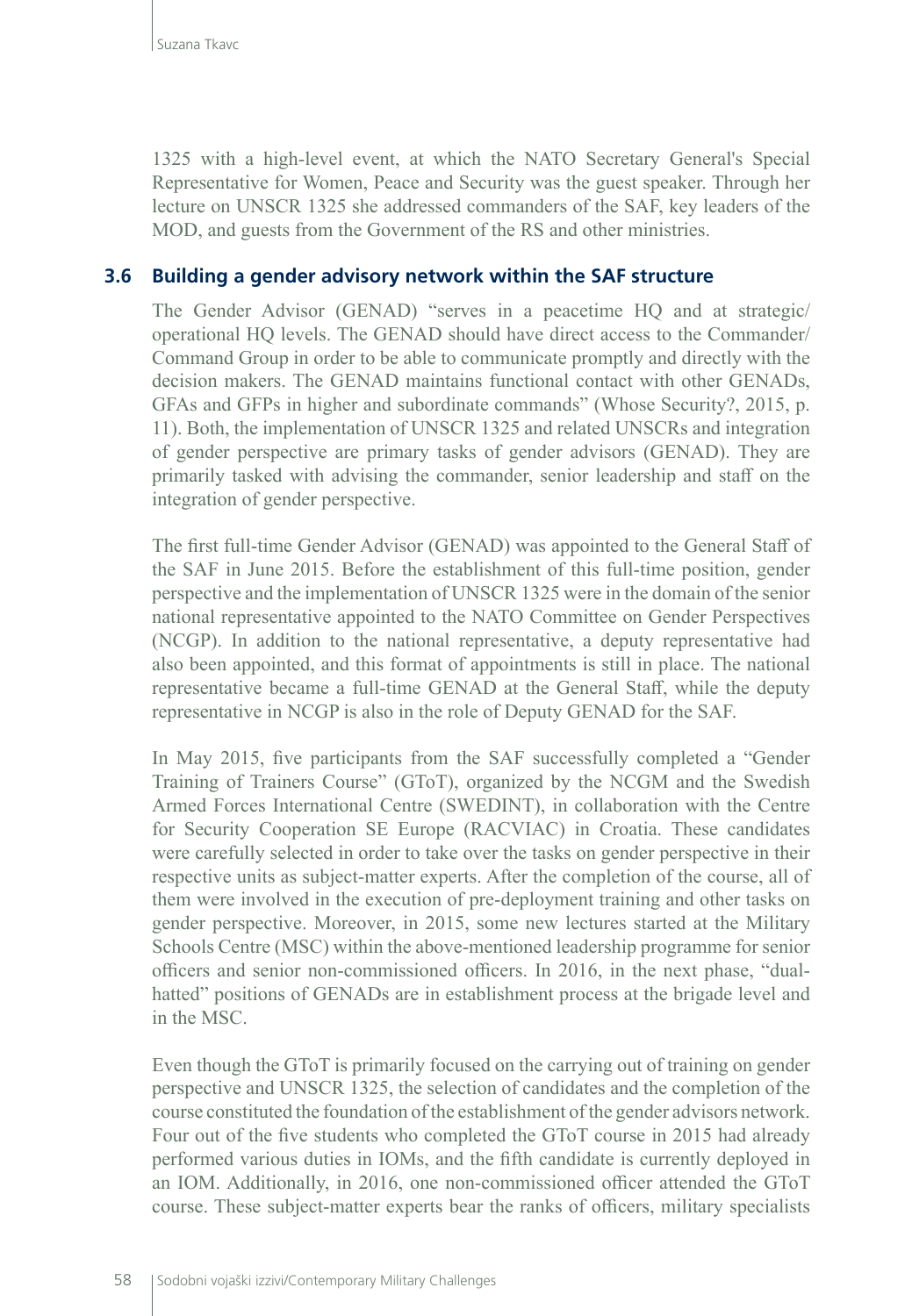1325 with a high-level event, at which the NATO Secretary General's Special Representative for Women, Peace and Security was the guest speaker. Through her lecture on UNSCR 1325 she addressed commanders of the SAF, key leaders of the MOD, and guests from the Government of the RS and other ministries.

#### **3.6 Building a gender advisory network within the SAF structure**

The Gender Advisor (GENAD) "serves in a peacetime HQ and at strategic/ operational HQ levels. The GENAD should have direct access to the Commander/ Command Group in order to be able to communicate promptly and directly with the decision makers. The GENAD maintains functional contact with other GENADs, GFAs and GFPs in higher and subordinate commands" (Whose Security?, 2015, p. 11). Both, the implementation of UNSCR 1325 and related UNSCRs and integration of gender perspective are primary tasks of gender advisors (GENAD). They are primarily tasked with advising the commander, senior leadership and staff on the integration of gender perspective.

The first full-time Gender Advisor (GENAD) was appointed to the General Staff of the SAF in June 2015. Before the establishment of this full-time position, gender perspective and the implementation of UNSCR 1325 were in the domain of the senior national representative appointed to the NATO Committee on Gender Perspectives (NCGP). In addition to the national representative, a deputy representative had also been appointed, and this format of appointments is still in place. The national representative became a full-time GENAD at the General Staff, while the deputy representative in NCGP is also in the role of Deputy GENAD for the SAF.

In May 2015, five participants from the SAF successfully completed a "Gender Training of Trainers Course" (GToT), organized by the NCGM and the Swedish Armed Forces International Centre (SWEDINT), in collaboration with the Centre for Security Cooperation SE Europe (RACVIAC) in Croatia. These candidates were carefully selected in order to take over the tasks on gender perspective in their respective units as subject-matter experts. After the completion of the course, all of them were involved in the execution of pre-deployment training and other tasks on gender perspective. Moreover, in 2015, some new lectures started at the Military Schools Centre (MSC) within the above-mentioned leadership programme for senior officers and senior non-commissioned officers. In 2016, in the next phase, "dualhatted" positions of GENADs are in establishment process at the brigade level and in the MSC.

Even though the GToT is primarily focused on the carrying out of training on gender perspective and UNSCR 1325, the selection of candidates and the completion of the course constituted the foundation of the establishment of the gender advisors network. Four out of the five students who completed the GToT course in 2015 had already performed various duties in IOMs, and the fifth candidate is currently deployed in an IOM. Additionally, in 2016, one non-commissioned officer attended the GToT course. These subject-matter experts bear the ranks of officers, military specialists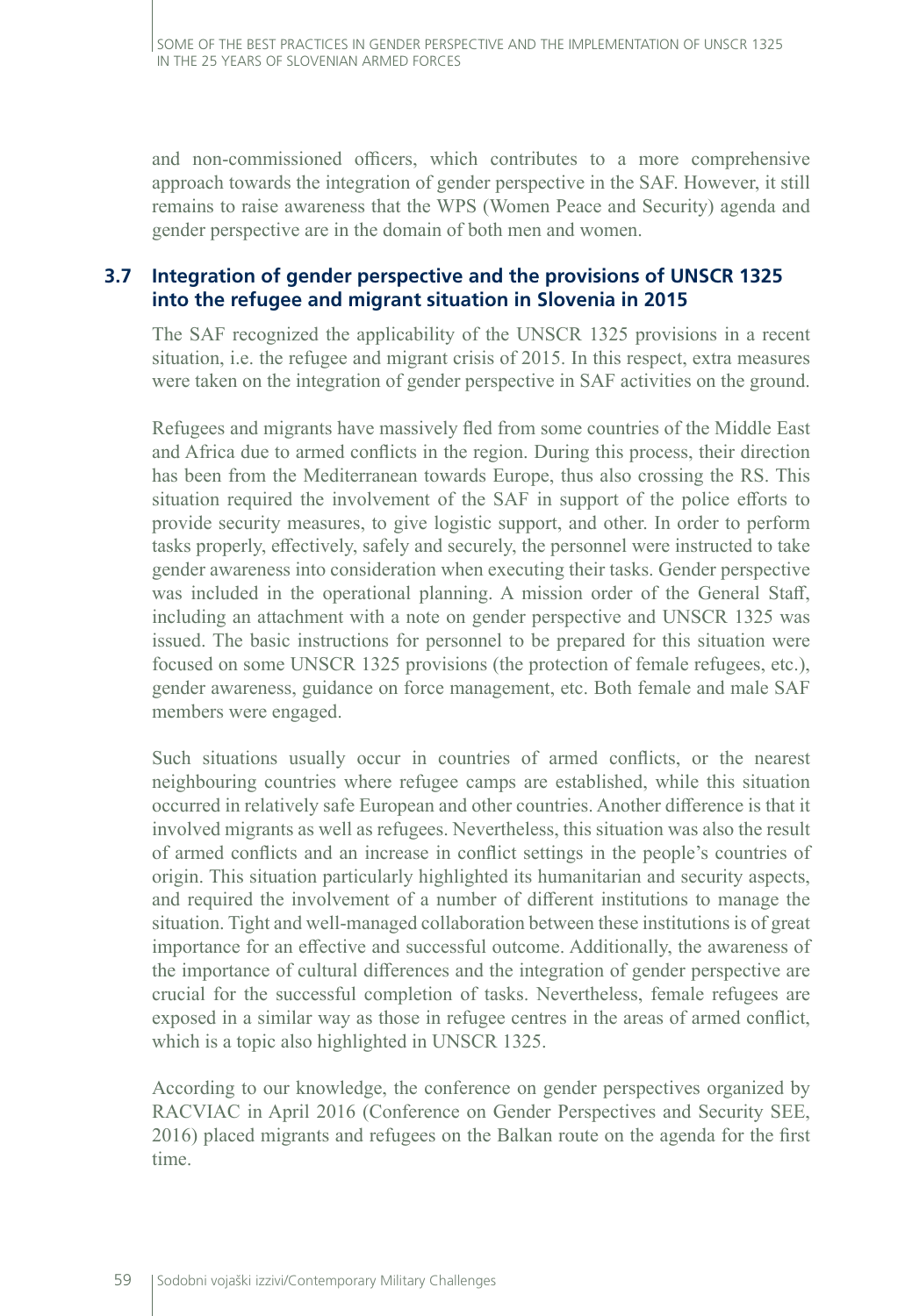and non-commissioned officers, which contributes to a more comprehensive approach towards the integration of gender perspective in the SAF. However, it still remains to raise awareness that the WPS (Women Peace and Security) agenda and gender perspective are in the domain of both men and women.

## **3.7 Integration of gender perspective and the provisions of UNSCR 1325 into the refugee and migrant situation in Slovenia in 2015**

The SAF recognized the applicability of the UNSCR 1325 provisions in a recent situation, i.e. the refugee and migrant crisis of 2015. In this respect, extra measures were taken on the integration of gender perspective in SAF activities on the ground.

Refugees and migrants have massively fled from some countries of the Middle East and Africa due to armed conflicts in the region. During this process, their direction has been from the Mediterranean towards Europe, thus also crossing the RS. This situation required the involvement of the SAF in support of the police efforts to provide security measures, to give logistic support, and other. In order to perform tasks properly, effectively, safely and securely, the personnel were instructed to take gender awareness into consideration when executing their tasks. Gender perspective was included in the operational planning. A mission order of the General Staff, including an attachment with a note on gender perspective and UNSCR 1325 was issued. The basic instructions for personnel to be prepared for this situation were focused on some UNSCR 1325 provisions (the protection of female refugees, etc.), gender awareness, guidance on force management, etc. Both female and male SAF members were engaged.

Such situations usually occur in countries of armed conflicts, or the nearest neighbouring countries where refugee camps are established, while this situation occurred in relatively safe European and other countries. Another difference is that it involved migrants as well as refugees. Nevertheless, this situation was also the result of armed conflicts and an increase in conflict settings in the people's countries of origin. This situation particularly highlighted its humanitarian and security aspects, and required the involvement of a number of different institutions to manage the situation. Tight and well-managed collaboration between these institutions is of great importance for an effective and successful outcome. Additionally, the awareness of the importance of cultural differences and the integration of gender perspective are crucial for the successful completion of tasks. Nevertheless, female refugees are exposed in a similar way as those in refugee centres in the areas of armed conflict, which is a topic also highlighted in UNSCR 1325.

According to our knowledge, the conference on gender perspectives organized by RACVIAC in April 2016 (Conference on Gender Perspectives and Security SEE, 2016) placed migrants and refugees on the Balkan route on the agenda for the first time.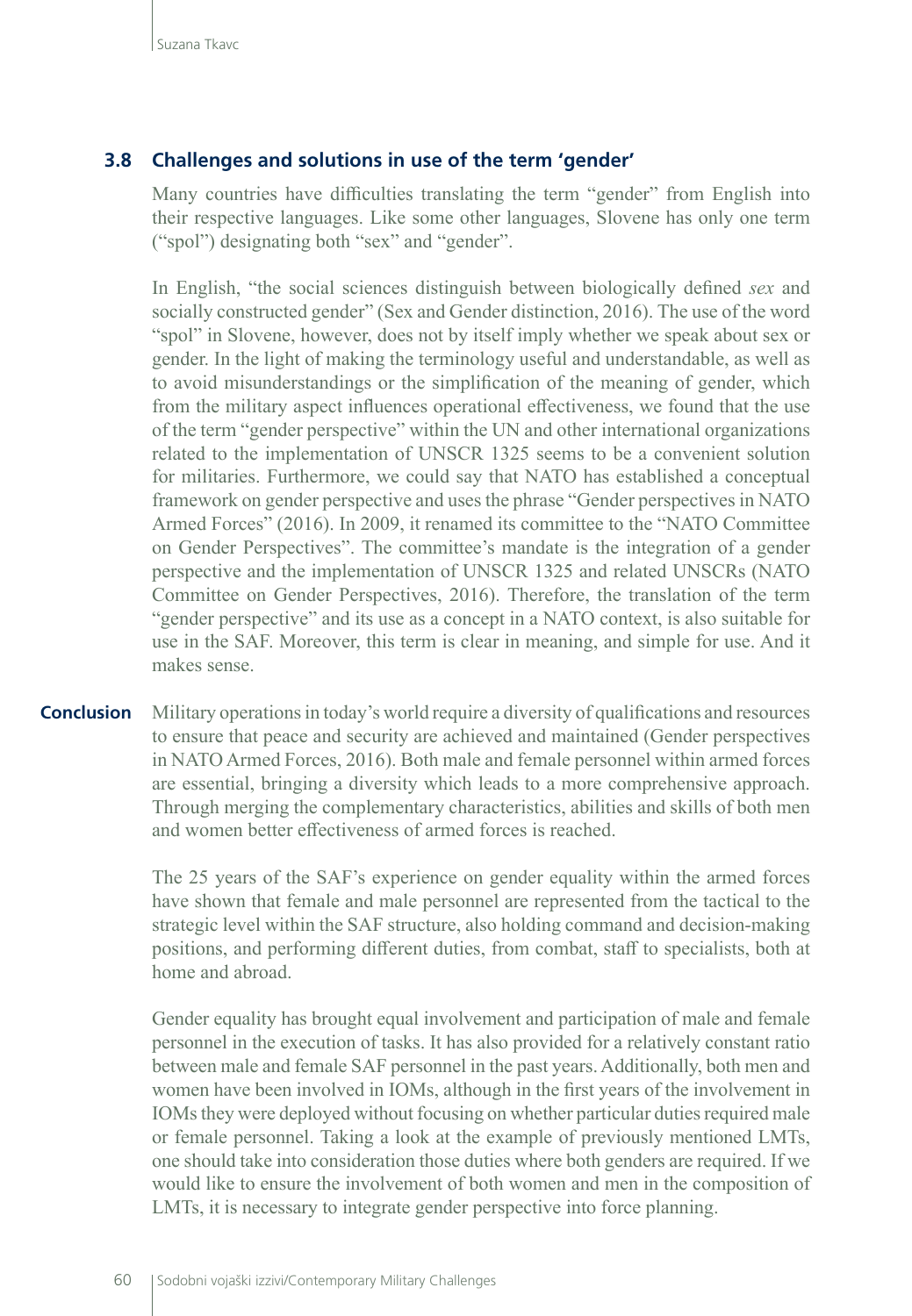#### **3.8 Challenges and solutions in use of the term 'gender'**

Many countries have difficulties translating the term "gender" from English into their respective languages. Like some other languages, Slovene has only one term ("spol") designating both "sex" and "gender".

In English, "the social sciences distinguish between biologically defined *sex* and socially constructed gender" (Sex and Gender distinction, 2016). The use of the word "spol" in Slovene, however, does not by itself imply whether we speak about sex or gender. In the light of making the terminology useful and understandable, as well as to avoid misunderstandings or the simplification of the meaning of gender, which from the military aspect influences operational effectiveness, we found that the use of the term "gender perspective" within the UN and other international organizations related to the implementation of UNSCR 1325 seems to be a convenient solution for militaries. Furthermore, we could say that NATO has established a conceptual framework on gender perspective and uses the phrase "Gender perspectives in NATO Armed Forces" (2016). In 2009, it renamed its committee to the "NATO Committee on Gender Perspectives". The committee's mandate is the integration of a gender perspective and the implementation of UNSCR 1325 and related UNSCRs (NATO Committee on Gender Perspectives, 2016). Therefore, the translation of the term "gender perspective" and its use as a concept in a NATO context, is also suitable for use in the SAF. Moreover, this term is clear in meaning, and simple for use. And it makes sense.

Military operations in today's world require a diversity of qualifications and resources to ensure that peace and security are achieved and maintained (Gender perspectives in NATO Armed Forces, 2016). Both male and female personnel within armed forces are essential, bringing a diversity which leads to a more comprehensive approach. Through merging the complementary characteristics, abilities and skills of both men and women better effectiveness of armed forces is reached. **Conclusion**

> The 25 years of the SAF's experience on gender equality within the armed forces have shown that female and male personnel are represented from the tactical to the strategic level within the SAF structure, also holding command and decision-making positions, and performing different duties, from combat, staff to specialists, both at home and abroad.

> Gender equality has brought equal involvement and participation of male and female personnel in the execution of tasks. It has also provided for a relatively constant ratio between male and female SAF personnel in the past years. Additionally, both men and women have been involved in IOMs, although in the first years of the involvement in IOMs they were deployed without focusing on whether particular duties required male or female personnel. Taking a look at the example of previously mentioned LMTs, one should take into consideration those duties where both genders are required. If we would like to ensure the involvement of both women and men in the composition of LMTs, it is necessary to integrate gender perspective into force planning.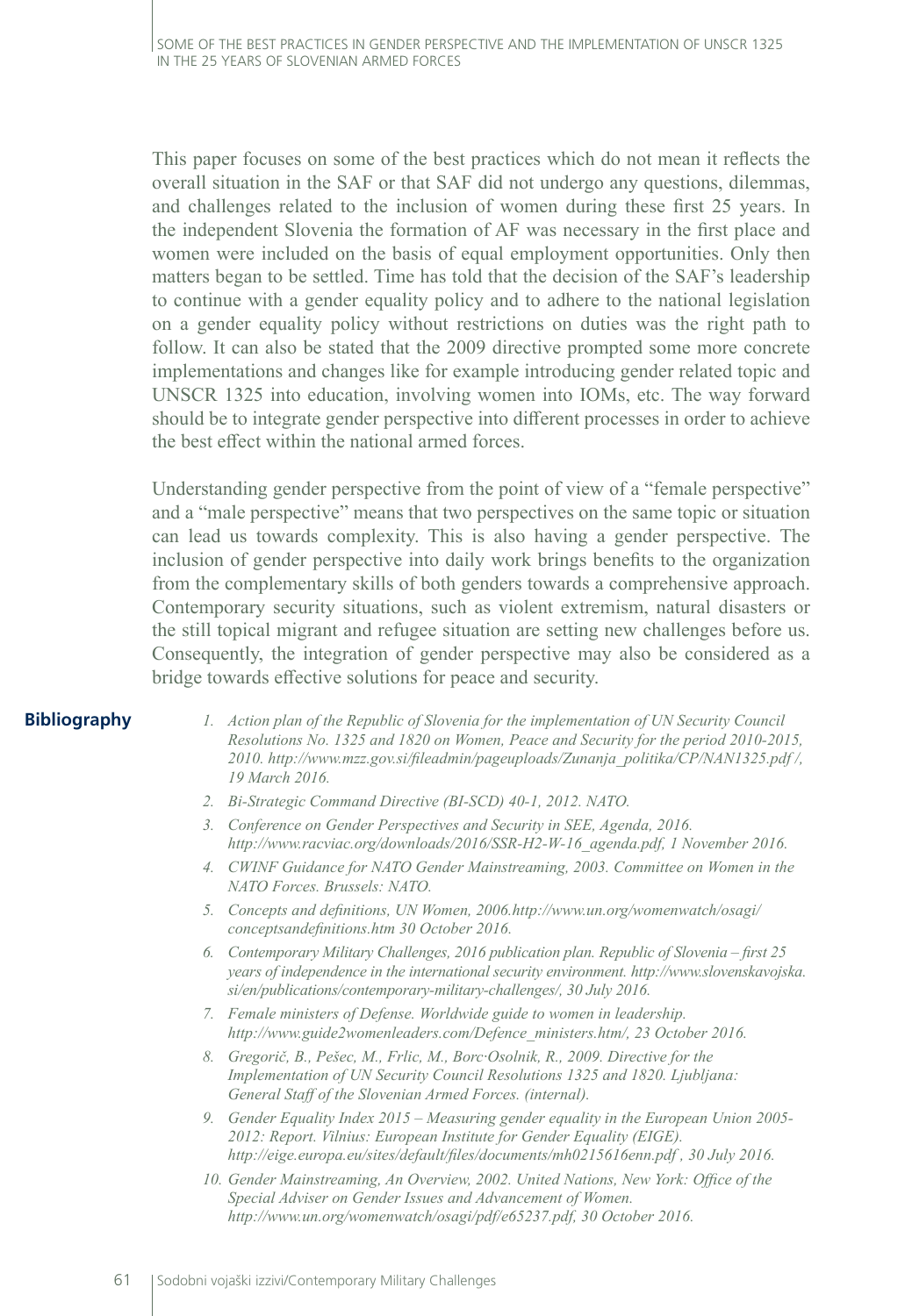This paper focuses on some of the best practices which do not mean it reflects the overall situation in the SAF or that SAF did not undergo any questions, dilemmas, and challenges related to the inclusion of women during these first 25 years. In the independent Slovenia the formation of AF was necessary in the first place and women were included on the basis of equal employment opportunities. Only then matters began to be settled. Time has told that the decision of the SAF's leadership to continue with a gender equality policy and to adhere to the national legislation on a gender equality policy without restrictions on duties was the right path to follow. It can also be stated that the 2009 directive prompted some more concrete implementations and changes like for example introducing gender related topic and UNSCR 1325 into education, involving women into IOMs, etc. The way forward should be to integrate gender perspective into different processes in order to achieve the best effect within the national armed forces.

Understanding gender perspective from the point of view of a "female perspective" and a "male perspective" means that two perspectives on the same topic or situation can lead us towards complexity. This is also having a gender perspective. The inclusion of gender perspective into daily work brings benefits to the organization from the complementary skills of both genders towards a comprehensive approach. Contemporary security situations, such as violent extremism, natural disasters or the still topical migrant and refugee situation are setting new challenges before us. Consequently, the integration of gender perspective may also be considered as a bridge towards effective solutions for peace and security.

#### **Bibliography**

- *1. Action plan of the Republic of Slovenia for the implementation of UN Security Council Resolutions No. 1325 and 1820 on Women, Peace and Security for the period 2010-2015, 2010. [http://www.mzz.gov.si/fileadmin/pageuploads/Zunanja\\_politika/CP/NAN1325.pdf /](http://www.mzz.gov.si/fileadmin/pageuploads/Zunanja_politika/CP/NAN1325.pdf /), 19 March 2016.*
- *2. Bi-Strategic Command Directive (BI-SCD) 40-1, 2012. NATO.*
- *3. Conference on Gender Perspectives and Security in SEE, Agenda, 2016. [http://www.racviac.org/downloads/2016/SSR-H2-W-16\\_agenda.pdf](http://www.racviac.org/downloads/2016/SSR-H2-W-16_agenda.pdf), 1 November 2016.*
- *4. CWINF Guidance for NATO Gender Mainstreaming, 2003. Committee on Women in the NATO Forces. Brussels: NATO.*
- *5. Concepts and definitions, UN Women, 2006.[http://www.un.org/womenwatch/osagi/](http://www.un.org/womenwatch/osagi/conceptsandefinitions.htm) [conceptsandefinitions.htm](http://www.un.org/womenwatch/osagi/conceptsandefinitions.htm) 30 October 2016.*
- *6. Contemporary Military Challenges, 2016 publication plan. Republic of Slovenia first 25 years of independence in the international security environment. [http://www.slovenskavojska.](http://www.slovenskavojska.si/en/publications/contemporary-military-challenges/) [si/en/publications/contemporary-military-challenges/](http://www.slovenskavojska.si/en/publications/contemporary-military-challenges/), 30 July 2016.*
- *7. Female ministers of Defense. Worldwide guide to women in leadership. [http://www.guide2womenleaders.com/Defence\\_ministers.htm/,](http://www.guide2womenleaders.com/Defence_ministers.htm/) 23 October 2016.*
- *8. Gregorič, B., Pešec, M., Frlic, M., Borc·Osolnik, R., 2009. Directive for the Implementation of UN Security Council Resolutions 1325 and 1820. Ljubljana: General Staff of the Slovenian Armed Forces. (internal).*
- *9. Gender Equality Index 2015 Measuring gender equality in the European Union 2005- 2012: Report. Vilnius: European Institute for Gender Equality (EIGE). http://eige.europa.eu/sites/default/files/documents/mh0215616enn.pdf , 30 July 2016.*
- *10. Gender Mainstreaming, An Overview, 2002. United Nations, New York: Office of the Special Adviser on Gender Issues and Advancement of Women. [http://www.un.org/womenwatch/osagi/pdf/e65237.pdf,](http://www.un.org/womenwatch/osagi/pdf/e65237.pdf) 30 October 2016.*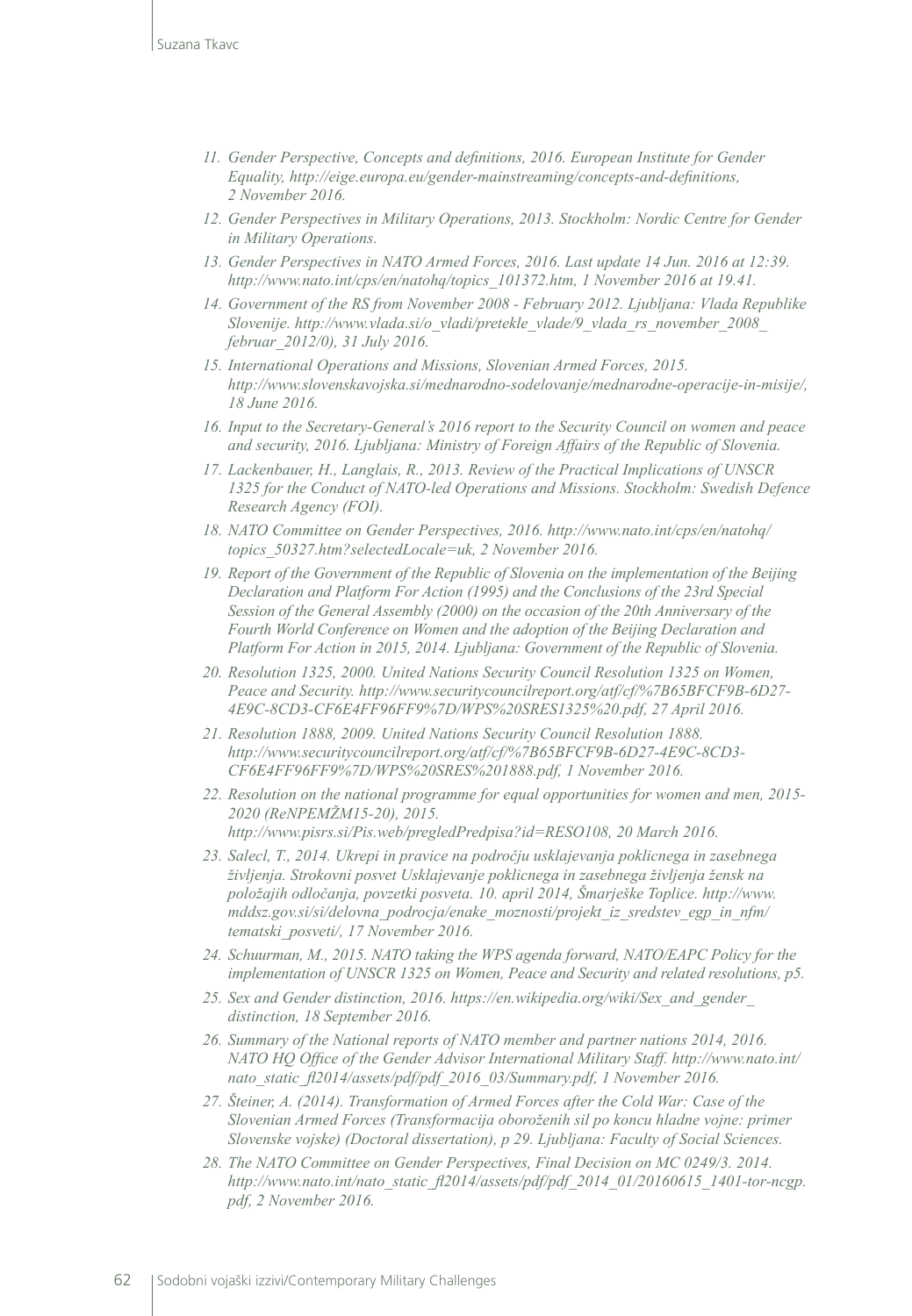- *11. Gender Perspective, Concepts and definitions, 2016. European Institute for Gender Equality,<http://eige.europa.eu/gender-mainstreaming/concepts-and-definitions>, 2 November 2016.*
- *12. Gender Perspectives in Military Operations, 2013. Stockholm: Nordic Centre for Gender in Military Operations.*
- *13. Gender Perspectives in NATO Armed Forces, 2016. Last update 14 Jun. 2016 at 12:39. [http://www.nato.int/cps/en/natohq/topics\\_101372.htm](http://www.nato.int/cps/en/natohq/topics_101372.htm), 1 November 2016 at 19.41.*
- *14. Government of the RS from November 2008 February 2012. Ljubljana: Vlada Republike Slovenije. http://www.vlada.si/o\_vladi/pretekle\_vlade/9\_vlada\_rs\_november\_2008\_ februar\_2012/0), 31 July 2016.*
- *15. International Operations and Missions, Slovenian Armed Forces, 2015. <http://www.slovenskavojska.si/mednarodno-sodelovanje/mednarodne-operacije-in-misije/>, 18 June 2016.*
- *16. Input to the Secretary-General's 2016 report to the Security Council on women and peace and security, 2016. Ljubljana: Ministry of Foreign Affairs of the Republic of Slovenia.*
- *17. Lackenbauer, H., Langlais, R., 2013. Review of the Practical Implications of UNSCR 1325 for the Conduct of NATO-led Operations and Missions. Stockholm: Swedish Defence Research Agency (FOI).*
- *18. NATO Committee on Gender Perspectives, 2016. [http://www.nato.int/cps/en/natohq/](http://www.nato.int/cps/en/natohq/topics_50327.htm?selectedLocale=uk) [topics\\_50327.htm?selectedLocale=uk](http://www.nato.int/cps/en/natohq/topics_50327.htm?selectedLocale=uk), 2 November 2016.*
- *19. Report of the Government of the Republic of Slovenia on the implementation of the Beijing Declaration and Platform For Action (1995) and the Conclusions of the 23rd Special Session of the General Assembly (2000) on the occasion of the 20th Anniversary of the Fourth World Conference on Women and the adoption of the Beijing Declaration and Platform For Action in 2015, 2014. Ljubljana: Government of the Republic of Slovenia.*
- *20. Resolution 1325, 2000. United Nations Security Council Resolution 1325 on Women, Peace and Security. http://www.securitycouncilreport.org/atf/cf/%7B65BFCF9B-6D27- 4E9C-8CD3-CF6E4FF96FF9%7D/WPS%20SRES1325%20.pdf, 27 April 2016.*
- *21. Resolution 1888, 2009. United Nations Security Council Resolution 1888. [http://www.securitycouncilreport.org/atf/cf/%7B65BFCF9B-6D27-4E9C-8CD3-](http://www.securitycouncilreport.org/atf/cf/%7B65BFCF9B-6D27-4E9C-8CD3-CF6E4FF96FF9%7D/WPS SRES 1888.pdf) [CF6E4FF96FF9%7D/WPS%20SRES%201888.pdf](http://www.securitycouncilreport.org/atf/cf/%7B65BFCF9B-6D27-4E9C-8CD3-CF6E4FF96FF9%7D/WPS SRES 1888.pdf), 1 November 2016.*
- *22. Resolution on the national programme for equal opportunities for women and men, 2015- 2020 (ReNPEMŽM15-20), 2015. [http://www.pisrs.si/Pis.web/pregledPredpisa?id=RESO108,](http://www.pisrs.si/Pis.web/pregledPredpisa?id=RESO108) 20 March 2016.*
- *23. Salecl, T., 2014. Ukrepi in pravice na področju usklajevanja poklicnega in zasebnega življenja. Strokovni posvet Usklajevanje poklicnega in zasebnega življenja žensk na položajih odločanja, povzetki posveta. 10. april 2014, Šmarješke Toplice. [http://www.](http://www.mddsz.gov.si/si/delovna_podrocja/enake_moznosti/projekt_iz_sredstev_egp_in_nfm/tematski_posveti/) [mddsz.gov.si/si/delovna\\_podrocja/enake\\_moznosti/projekt\\_iz\\_sredstev\\_egp\\_in\\_nfm/](http://www.mddsz.gov.si/si/delovna_podrocja/enake_moznosti/projekt_iz_sredstev_egp_in_nfm/tematski_posveti/) [tematski\\_posveti/](http://www.mddsz.gov.si/si/delovna_podrocja/enake_moznosti/projekt_iz_sredstev_egp_in_nfm/tematski_posveti/), 17 November 2016.*
- *24. Schuurman, M., 2015. NATO taking the WPS agenda forward, NATO/EAPC Policy for the implementation of UNSCR 1325 on Women, Peace and Security and related resolutions, p5.*
- *25. Sex and Gender distinction, 2016. [https://en.wikipedia.org/wiki/Sex\\_and\\_gender\\_](https://en.wikipedia.org/wiki/Sex_and_gender_distinction) [distinction,](https://en.wikipedia.org/wiki/Sex_and_gender_distinction) 18 September 2016.*
- *26. Summary of the National reports of NATO member and partner nations 2014, 2016. NATO HQ Office of the Gender Advisor International Military Staff. [http://www.nato.int/](http://www.nato.int/nato_static_fl2014/assets/pdf/pdf_2016_03/Summary.pdf) [nato\\_static\\_fl2014/assets/pdf/pdf\\_2016\\_03/Summary.pdf](http://www.nato.int/nato_static_fl2014/assets/pdf/pdf_2016_03/Summary.pdf), 1 November 2016.*
- *27. Šteiner, A. (2014). Transformation of Armed Forces after the Cold War: Case of the Slovenian Armed Forces (Transformacija oboroženih sil po koncu hladne vojne: primer Slovenske vojske) (Doctoral dissertation), p 29. Ljubljana: Faculty of Social Sciences.*
- *28. The NATO Committee on Gender Perspectives, Final Decision on MC 0249/3. 2014. [http://www.nato.int/nato\\_static\\_fl2014/assets/pdf/pdf\\_2014\\_01/20160615\\_1401-tor-ncgp.](http://www.nato.int/nato_static_fl2014/assets/pdf/pdf_2014_01/20160615_1401-tor-ncgp.pdf) [pdf](http://www.nato.int/nato_static_fl2014/assets/pdf/pdf_2014_01/20160615_1401-tor-ncgp.pdf), 2 November 2016.*